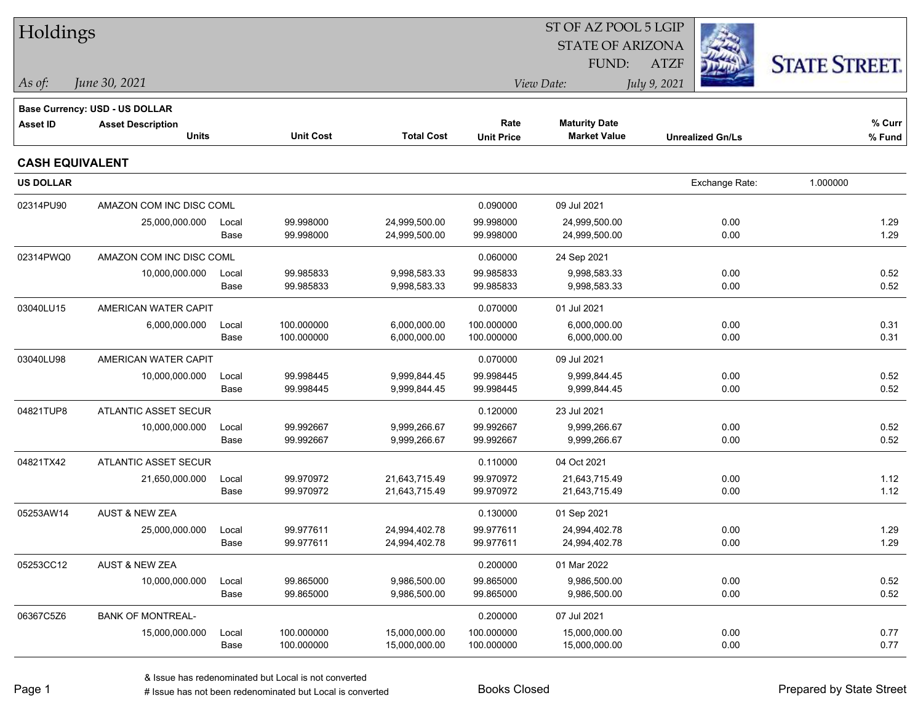| Holdings               |                                                            |               |                          |                              |                          | ST OF AZ POOL 5 LGIP           |                         |                      |  |
|------------------------|------------------------------------------------------------|---------------|--------------------------|------------------------------|--------------------------|--------------------------------|-------------------------|----------------------|--|
|                        |                                                            |               |                          |                              |                          | <b>STATE OF ARIZONA</b>        |                         |                      |  |
|                        |                                                            |               |                          |                              |                          | FUND:                          | <b>ATZF</b>             | <b>STATE STREET.</b> |  |
| As of:                 | June 30, 2021                                              |               |                          |                              |                          | View Date:                     | July 9, 2021            |                      |  |
|                        |                                                            |               |                          |                              |                          |                                |                         |                      |  |
| <b>Asset ID</b>        | Base Currency: USD - US DOLLAR<br><b>Asset Description</b> |               |                          |                              | Rate                     | <b>Maturity Date</b>           |                         | % Curr               |  |
|                        | <b>Units</b>                                               |               | <b>Unit Cost</b>         | <b>Total Cost</b>            | <b>Unit Price</b>        | <b>Market Value</b>            | <b>Unrealized Gn/Ls</b> | % Fund               |  |
| <b>CASH EQUIVALENT</b> |                                                            |               |                          |                              |                          |                                |                         |                      |  |
| <b>US DOLLAR</b>       |                                                            |               |                          |                              |                          |                                | Exchange Rate:          | 1.000000             |  |
| 02314PU90              | AMAZON COM INC DISC COML                                   |               |                          |                              | 0.090000                 | 09 Jul 2021                    |                         |                      |  |
|                        | 25,000,000.000                                             | Local         | 99.998000                | 24,999,500.00                | 99.998000                | 24,999,500.00                  | 0.00                    | 1.29                 |  |
|                        |                                                            | Base          | 99.998000                | 24,999,500.00                | 99.998000                | 24,999,500.00                  | 0.00                    | 1.29                 |  |
| 02314PWQ0              | AMAZON COM INC DISC COML                                   |               |                          |                              | 0.060000                 | 24 Sep 2021                    |                         |                      |  |
|                        | 10,000,000.000                                             | Local         | 99.985833                | 9,998,583.33                 | 99.985833                | 9,998,583.33                   | 0.00                    | 0.52                 |  |
|                        |                                                            | Base          | 99.985833                | 9,998,583.33                 | 99.985833                | 9,998,583.33                   | 0.00                    | 0.52                 |  |
| 03040LU15              | AMERICAN WATER CAPIT                                       |               |                          |                              | 0.070000                 | 01 Jul 2021                    |                         |                      |  |
|                        | 6,000,000.000                                              | Local         | 100.000000<br>100.000000 | 6,000,000.00                 | 100.000000<br>100.000000 | 6,000,000.00                   | 0.00<br>0.00            | 0.31<br>0.31         |  |
|                        |                                                            | Base          |                          | 6,000,000.00                 |                          | 6,000,000.00                   |                         |                      |  |
| 03040LU98              | AMERICAN WATER CAPIT                                       |               |                          |                              | 0.070000                 | 09 Jul 2021                    |                         |                      |  |
|                        | 10,000,000.000                                             | Local<br>Base | 99.998445<br>99.998445   | 9,999,844.45<br>9,999,844.45 | 99.998445<br>99.998445   | 9,999,844.45<br>9,999,844.45   | 0.00<br>0.00            | 0.52<br>0.52         |  |
|                        |                                                            |               |                          |                              |                          |                                |                         |                      |  |
| 04821TUP8              | ATLANTIC ASSET SECUR                                       |               |                          |                              | 0.120000                 | 23 Jul 2021                    |                         |                      |  |
|                        | 10,000,000.000                                             | Local<br>Base | 99.992667<br>99.992667   | 9,999,266.67<br>9,999,266.67 | 99.992667<br>99.992667   | 9,999,266.67<br>9,999,266.67   | 0.00<br>0.00            | 0.52<br>0.52         |  |
|                        |                                                            |               |                          |                              |                          |                                |                         |                      |  |
| 04821TX42              | ATLANTIC ASSET SECUR                                       |               | 99.970972                | 21,643,715.49                | 0.110000                 | 04 Oct 2021                    |                         |                      |  |
|                        | 21,650,000.000                                             | Local<br>Base | 99.970972                | 21,643,715.49                | 99.970972<br>99.970972   | 21,643,715.49<br>21,643,715.49 | 0.00<br>0.00            | 1.12<br>1.12         |  |
| 05253AW14              | <b>AUST &amp; NEW ZEA</b>                                  |               |                          |                              | 0.130000                 | 01 Sep 2021                    |                         |                      |  |
|                        | 25,000,000.000                                             | Local         | 99.977611                | 24,994,402.78                | 99.977611                | 24,994,402.78                  | 0.00                    | 1.29                 |  |
|                        |                                                            | Base          | 99.977611                | 24,994,402.78                | 99.977611                | 24,994,402.78                  | 0.00                    | 1.29                 |  |
| 05253CC12              | <b>AUST &amp; NEW ZEA</b>                                  |               |                          |                              | 0.200000                 | 01 Mar 2022                    |                         |                      |  |
|                        | 10,000,000.000                                             | Local         | 99.865000                | 9,986,500.00                 | 99.865000                | 9,986,500.00                   | 0.00                    | 0.52                 |  |
|                        |                                                            | Base          | 99.865000                | 9,986,500.00                 | 99.865000                | 9,986,500.00                   | 0.00                    | 0.52                 |  |
| 06367C5Z6              | <b>BANK OF MONTREAL-</b>                                   |               |                          |                              | 0.200000                 | 07 Jul 2021                    |                         |                      |  |
|                        | 15,000,000.000                                             | Local         | 100.000000               | 15,000,000.00                | 100.000000               | 15,000,000.00                  | 0.00                    | 0.77                 |  |
|                        |                                                            | Base          | 100.000000               | 15,000,000.00                | 100.000000               | 15,000,000.00                  | 0.00                    | 0.77                 |  |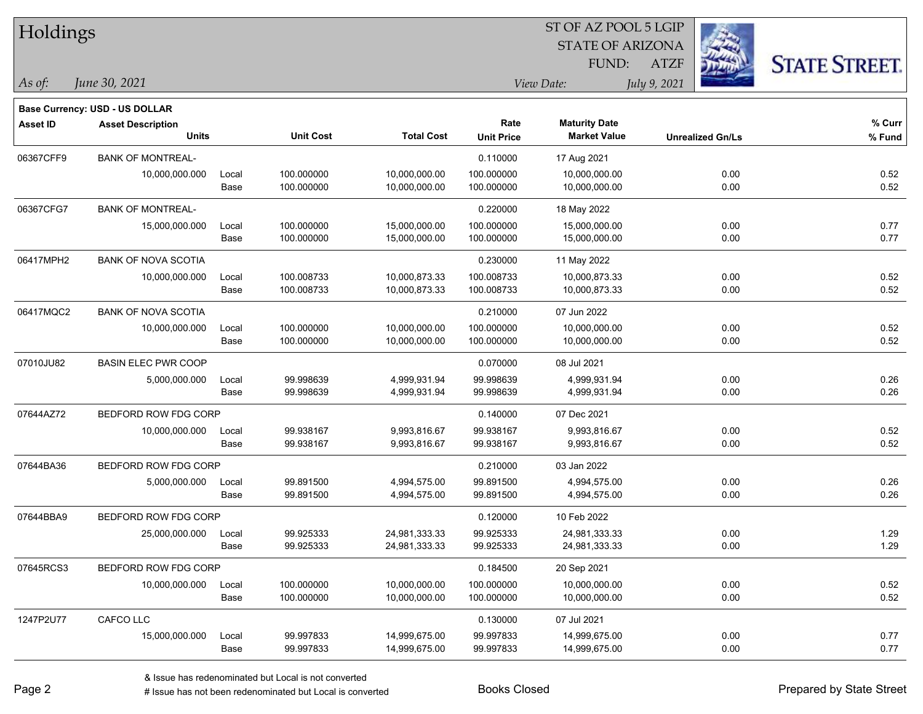| Holdings  |                                       |       |                  |                   | 51 OF AZ POOL 5 LGIP<br>é. |                         |                         |                      |  |  |  |
|-----------|---------------------------------------|-------|------------------|-------------------|----------------------------|-------------------------|-------------------------|----------------------|--|--|--|
|           |                                       |       |                  |                   |                            | <b>STATE OF ARIZONA</b> |                         |                      |  |  |  |
|           |                                       |       |                  |                   |                            | FUND:                   | <b>ATZF</b>             | <b>STATE STREET.</b> |  |  |  |
| As of:    | June 30, 2021                         |       |                  |                   |                            | View Date:              | July 9, 2021            |                      |  |  |  |
|           | <b>Base Currency: USD - US DOLLAR</b> |       |                  |                   |                            |                         |                         |                      |  |  |  |
| Asset ID  | <b>Asset Description</b>              |       |                  |                   | Rate                       | <b>Maturity Date</b>    |                         | % Curr               |  |  |  |
|           | <b>Units</b>                          |       | <b>Unit Cost</b> | <b>Total Cost</b> | <b>Unit Price</b>          | <b>Market Value</b>     | <b>Unrealized Gn/Ls</b> | % Fund               |  |  |  |
| 06367CFF9 | <b>BANK OF MONTREAL-</b>              |       |                  |                   | 0.110000                   | 17 Aug 2021             |                         |                      |  |  |  |
|           | 10,000,000.000                        | Local | 100.000000       | 10,000,000.00     | 100.000000                 | 10,000,000.00           |                         | 0.00<br>0.52         |  |  |  |
|           |                                       | Base  | 100.000000       | 10,000,000.00     | 100.000000                 | 10,000,000.00           |                         | 0.00<br>0.52         |  |  |  |
| 06367CFG7 | <b>BANK OF MONTREAL-</b>              |       |                  |                   | 0.220000                   | 18 May 2022             |                         |                      |  |  |  |
|           | 15,000,000.000                        | Local | 100.000000       | 15,000,000.00     | 100.000000                 | 15,000,000.00           |                         | 0.00<br>0.77         |  |  |  |
|           |                                       | Base  | 100.000000       | 15,000,000.00     | 100.000000                 | 15,000,000.00           |                         | 0.00<br>0.77         |  |  |  |
| 06417MPH2 | <b>BANK OF NOVA SCOTIA</b>            |       |                  |                   | 0.230000                   | 11 May 2022             |                         |                      |  |  |  |
|           | 10,000,000.000                        | Local | 100.008733       | 10,000,873.33     | 100.008733                 | 10,000,873.33           |                         | 0.00<br>0.52         |  |  |  |
|           |                                       | Base  | 100.008733       | 10,000,873.33     | 100.008733                 | 10,000,873.33           |                         | 0.52<br>0.00         |  |  |  |
| 06417MQC2 | <b>BANK OF NOVA SCOTIA</b>            |       |                  |                   | 0.210000                   | 07 Jun 2022             |                         |                      |  |  |  |
|           | 10,000,000.000                        | Local | 100.000000       | 10,000,000.00     | 100.000000                 | 10,000,000.00           |                         | 0.52<br>0.00         |  |  |  |
|           |                                       | Base  | 100.000000       | 10,000,000.00     | 100.000000                 | 10,000,000.00           |                         | 0.00<br>0.52         |  |  |  |
| 07010JU82 | <b>BASIN ELEC PWR COOP</b>            |       |                  |                   | 0.070000                   | 08 Jul 2021             |                         |                      |  |  |  |
|           | 5,000,000.000                         | Local | 99.998639        | 4,999,931.94      | 99.998639                  | 4,999,931.94            |                         | 0.00<br>0.26         |  |  |  |
|           |                                       | Base  | 99.998639        | 4,999,931.94      | 99.998639                  | 4,999,931.94            |                         | 0.26<br>0.00         |  |  |  |
| 07644AZ72 | BEDFORD ROW FDG CORP                  |       |                  |                   | 0.140000                   | 07 Dec 2021             |                         |                      |  |  |  |
|           | 10,000,000.000                        | Local | 99.938167        | 9,993,816.67      | 99.938167                  | 9,993,816.67            |                         | 0.00<br>0.52         |  |  |  |
|           |                                       | Base  | 99.938167        | 9,993,816.67      | 99.938167                  | 9,993,816.67            |                         | 0.52<br>0.00         |  |  |  |
| 07644BA36 | BEDFORD ROW FDG CORP                  |       |                  |                   | 0.210000                   | 03 Jan 2022             |                         |                      |  |  |  |
|           | 5,000,000.000                         | Local | 99.891500        | 4,994,575.00      | 99.891500                  | 4,994,575.00            |                         | 0.26<br>0.00         |  |  |  |
|           |                                       | Base  | 99.891500        | 4,994,575.00      | 99.891500                  | 4,994,575.00            |                         | 0.00<br>0.26         |  |  |  |
| 07644BBA9 | BEDFORD ROW FDG CORP                  |       |                  |                   | 0.120000                   | 10 Feb 2022             |                         |                      |  |  |  |
|           | 25,000,000.000                        | Local | 99.925333        | 24,981,333.33     | 99.925333                  | 24,981,333.33           |                         | 0.00<br>1.29         |  |  |  |
|           |                                       | Base  | 99.925333        | 24,981,333.33     | 99.925333                  | 24,981,333.33           |                         | 1.29<br>0.00         |  |  |  |
| 07645RCS3 | BEDFORD ROW FDG CORP                  |       |                  |                   | 0.184500                   | 20 Sep 2021             |                         |                      |  |  |  |
|           | 10,000,000.000                        | Local | 100.000000       | 10,000,000.00     | 100.000000                 | 10,000,000.00           |                         | 0.00<br>0.52         |  |  |  |
|           |                                       | Base  | 100.000000       | 10,000,000.00     | 100.000000                 | 10,000,000.00           |                         | 0.52<br>0.00         |  |  |  |
| 1247P2U77 | CAFCO LLC                             |       |                  |                   | 0.130000                   | 07 Jul 2021             |                         |                      |  |  |  |
|           | 15,000,000.000                        | Local | 99.997833        | 14,999,675.00     | 99.997833                  | 14,999,675.00           |                         | 0.00<br>0.77         |  |  |  |
|           |                                       | Base  | 99.997833        | 14,999,675.00     | 99.997833                  | 14,999,675.00           |                         | 0.00<br>0.77         |  |  |  |

 $ST$  OF AZ POOL 5 LGIP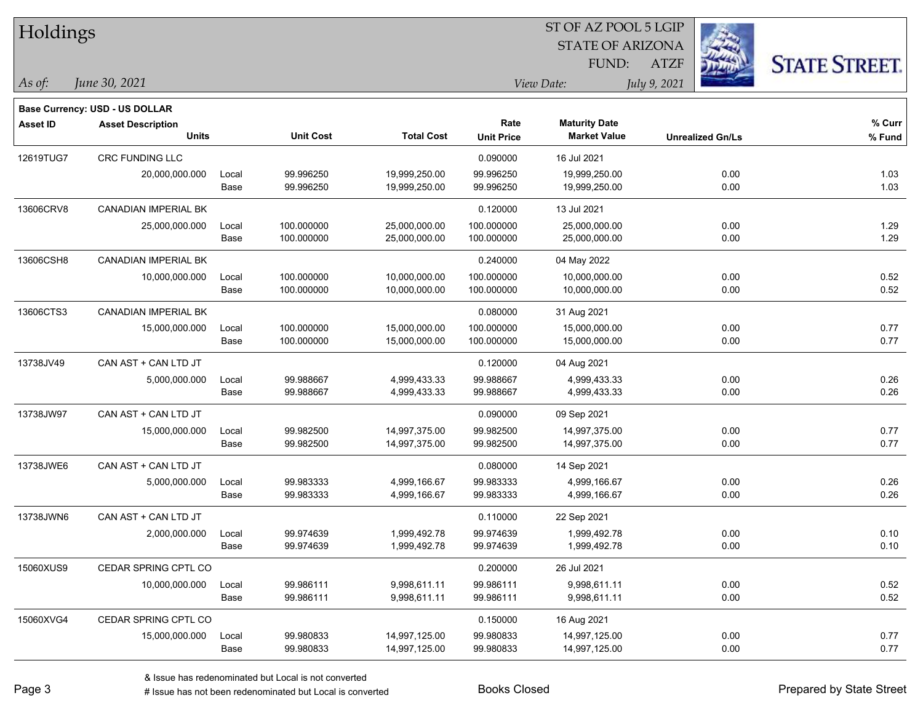| Holdings        |                                       |       |                  | ST OF AZ POOL 5 LGIP |                   |                         |              |                         |                      |  |  |
|-----------------|---------------------------------------|-------|------------------|----------------------|-------------------|-------------------------|--------------|-------------------------|----------------------|--|--|
|                 |                                       |       |                  |                      |                   | <b>STATE OF ARIZONA</b> |              |                         |                      |  |  |
|                 |                                       |       |                  |                      |                   | FUND:                   | <b>ATZF</b>  |                         | <b>STATE STREET.</b> |  |  |
| As of:          | June 30, 2021                         |       |                  |                      |                   | View Date:              | July 9, 2021 |                         |                      |  |  |
|                 | <b>Base Currency: USD - US DOLLAR</b> |       |                  |                      |                   |                         |              |                         |                      |  |  |
| <b>Asset ID</b> | <b>Asset Description</b>              |       |                  |                      | Rate              | <b>Maturity Date</b>    |              |                         | % Curr               |  |  |
|                 | <b>Units</b>                          |       | <b>Unit Cost</b> | <b>Total Cost</b>    | <b>Unit Price</b> | <b>Market Value</b>     |              | <b>Unrealized Gn/Ls</b> | $%$ Fund             |  |  |
| 12619TUG7       | CRC FUNDING LLC                       |       |                  |                      | 0.090000          | 16 Jul 2021             |              |                         |                      |  |  |
|                 | 20,000,000.000                        | Local | 99.996250        | 19,999,250.00        | 99.996250         | 19,999,250.00           |              | 0.00                    | 1.03                 |  |  |
|                 |                                       | Base  | 99.996250        | 19,999,250.00        | 99.996250         | 19,999,250.00           |              | 0.00                    | 1.03                 |  |  |
| 13606CRV8       | <b>CANADIAN IMPERIAL BK</b>           |       |                  |                      | 0.120000          | 13 Jul 2021             |              |                         |                      |  |  |
|                 | 25,000,000.000                        | Local | 100.000000       | 25,000,000.00        | 100.000000        | 25,000,000.00           |              | 0.00                    | 1.29                 |  |  |
|                 |                                       | Base  | 100.000000       | 25,000,000.00        | 100.000000        | 25,000,000.00           |              | 0.00                    | 1.29                 |  |  |
| 13606CSH8       | <b>CANADIAN IMPERIAL BK</b>           |       |                  |                      | 0.240000          | 04 May 2022             |              |                         |                      |  |  |
|                 | 10,000,000.000                        | Local | 100.000000       | 10,000,000.00        | 100.000000        | 10,000,000.00           |              | 0.00                    | 0.52                 |  |  |
|                 |                                       | Base  | 100.000000       | 10,000,000.00        | 100.000000        | 10,000,000.00           |              | 0.00                    | 0.52                 |  |  |
| 13606CTS3       | CANADIAN IMPERIAL BK                  |       |                  |                      | 0.080000          | 31 Aug 2021             |              |                         |                      |  |  |
|                 | 15,000,000.000                        | Local | 100.000000       | 15,000,000.00        | 100.000000        | 15,000,000.00           |              | 0.00                    | 0.77                 |  |  |
|                 |                                       | Base  | 100.000000       | 15,000,000.00        | 100.000000        | 15,000,000.00           |              | 0.00                    | 0.77                 |  |  |
| 13738JV49       | CAN AST + CAN LTD JT                  |       |                  |                      | 0.120000          | 04 Aug 2021             |              |                         |                      |  |  |
|                 | 5,000,000.000                         | Local | 99.988667        | 4,999,433.33         | 99.988667         | 4,999,433.33            |              | 0.00                    | 0.26                 |  |  |
|                 |                                       | Base  | 99.988667        | 4,999,433.33         | 99.988667         | 4,999,433.33            |              | 0.00                    | 0.26                 |  |  |
| 13738JW97       | CAN AST + CAN LTD JT                  |       |                  |                      | 0.090000          | 09 Sep 2021             |              |                         |                      |  |  |
|                 | 15,000,000.000                        | Local | 99.982500        | 14,997,375.00        | 99.982500         | 14,997,375.00           |              | 0.00                    | 0.77                 |  |  |
|                 |                                       | Base  | 99.982500        | 14,997,375.00        | 99.982500         | 14,997,375.00           |              | 0.00                    | 0.77                 |  |  |
| 13738JWE6       | CAN AST + CAN LTD JT                  |       |                  |                      | 0.080000          | 14 Sep 2021             |              |                         |                      |  |  |
|                 | 5,000,000.000                         | Local | 99.983333        | 4,999,166.67         | 99.983333         | 4,999,166.67            |              | 0.00                    | 0.26                 |  |  |
|                 |                                       | Base  | 99.983333        | 4,999,166.67         | 99.983333         | 4,999,166.67            |              | 0.00                    | 0.26                 |  |  |
| 13738JWN6       | CAN AST + CAN LTD JT                  |       |                  |                      | 0.110000          | 22 Sep 2021             |              |                         |                      |  |  |
|                 | 2,000,000.000                         | Local | 99.974639        | 1,999,492.78         | 99.974639         | 1,999,492.78            |              | 0.00                    | 0.10                 |  |  |
|                 |                                       | Base  | 99.974639        | 1,999,492.78         | 99.974639         | 1,999,492.78            |              | 0.00                    | 0.10                 |  |  |
| 15060XUS9       | CEDAR SPRING CPTL CO                  |       |                  |                      | 0.200000          | 26 Jul 2021             |              |                         |                      |  |  |
|                 | 10,000,000.000                        | Local | 99.986111        | 9,998,611.11         | 99.986111         | 9,998,611.11            |              | 0.00                    | 0.52                 |  |  |
|                 |                                       | Base  | 99.986111        | 9,998,611.11         | 99.986111         | 9,998,611.11            |              | 0.00                    | 0.52                 |  |  |
| 15060XVG4       | CEDAR SPRING CPTL CO                  |       |                  |                      | 0.150000          | 16 Aug 2021             |              |                         |                      |  |  |
|                 | 15,000,000.000                        | Local | 99.980833        | 14,997,125.00        | 99.980833         | 14,997,125.00           |              | 0.00                    | 0.77                 |  |  |
|                 |                                       | Base  | 99.980833        | 14,997,125.00        | 99.980833         | 14,997,125.00           |              | 0.00                    | 0.77                 |  |  |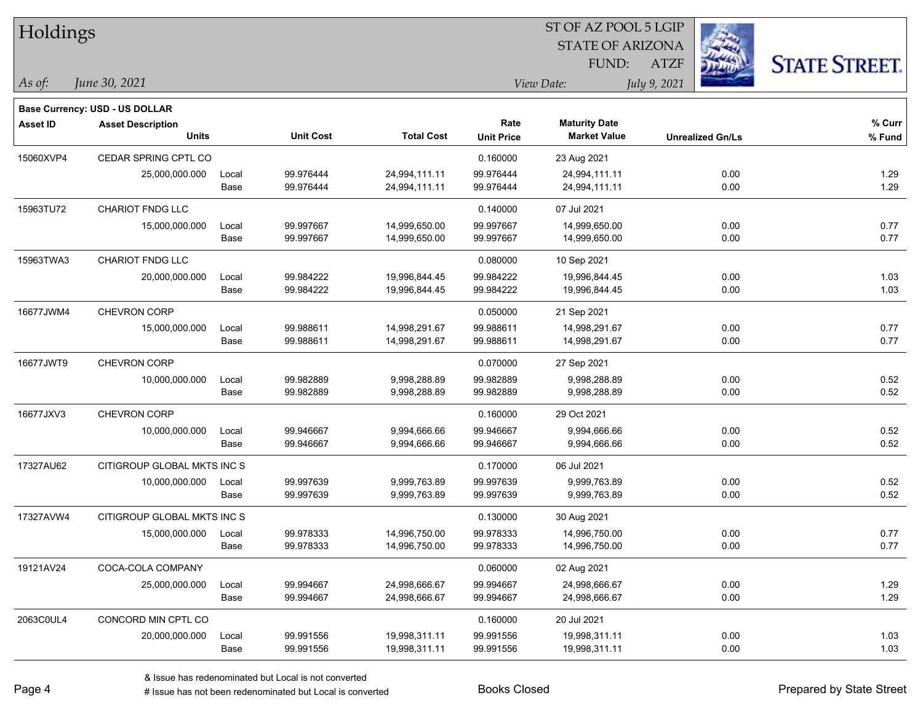| Holdings        |                                       |       |                  |                   | SI OF AZ POOL 5 LGIP |                         |                         |                      |  |  |  |
|-----------------|---------------------------------------|-------|------------------|-------------------|----------------------|-------------------------|-------------------------|----------------------|--|--|--|
|                 |                                       |       |                  |                   |                      | <b>STATE OF ARIZONA</b> | Ź.                      |                      |  |  |  |
|                 |                                       |       |                  |                   |                      | FUND:                   | <b>ATZF</b>             | <b>STATE STREET.</b> |  |  |  |
| As of:          | June 30, 2021                         |       |                  |                   |                      | View Date:              | July 9, 2021            |                      |  |  |  |
|                 | <b>Base Currency: USD - US DOLLAR</b> |       |                  |                   |                      |                         |                         |                      |  |  |  |
| <b>Asset ID</b> | <b>Asset Description</b>              |       |                  |                   | Rate                 | <b>Maturity Date</b>    |                         | % Curr               |  |  |  |
|                 | <b>Units</b>                          |       | <b>Unit Cost</b> | <b>Total Cost</b> | <b>Unit Price</b>    | <b>Market Value</b>     | <b>Unrealized Gn/Ls</b> | % Fund               |  |  |  |
| 15060XVP4       | <b>CEDAR SPRING CPTL CO</b>           |       |                  |                   | 0.160000             | 23 Aug 2021             |                         |                      |  |  |  |
|                 | 25,000,000.000                        | Local | 99.976444        | 24,994,111.11     | 99.976444            | 24,994,111.11           | 0.00                    | 1.29                 |  |  |  |
|                 |                                       | Base  | 99.976444        | 24,994,111.11     | 99.976444            | 24,994,111.11           | 0.00                    | 1.29                 |  |  |  |
| 15963TU72       | <b>CHARIOT FNDG LLC</b>               |       |                  |                   | 0.140000             | 07 Jul 2021             |                         |                      |  |  |  |
|                 | 15,000,000.000                        | Local | 99.997667        | 14,999,650.00     | 99.997667            | 14,999,650.00           | 0.00                    | 0.77                 |  |  |  |
|                 |                                       | Base  | 99.997667        | 14,999,650.00     | 99.997667            | 14,999,650.00           | 0.00                    | 0.77                 |  |  |  |
| 15963TWA3       | <b>CHARIOT FNDG LLC</b>               |       |                  |                   | 0.080000             | 10 Sep 2021             |                         |                      |  |  |  |
|                 | 20,000,000.000                        | Local | 99.984222        | 19,996,844.45     | 99.984222            | 19,996,844.45           | 0.00                    | 1.03                 |  |  |  |
|                 |                                       | Base  | 99.984222        | 19,996,844.45     | 99.984222            | 19,996,844.45           | 0.00                    | 1.03                 |  |  |  |
| 16677JWM4       | <b>CHEVRON CORP</b>                   |       |                  |                   | 0.050000             | 21 Sep 2021             |                         |                      |  |  |  |
|                 | 15,000,000.000                        | Local | 99.988611        | 14,998,291.67     | 99.988611            | 14,998,291.67           | 0.00                    | 0.77                 |  |  |  |
|                 |                                       | Base  | 99.988611        | 14,998,291.67     | 99.988611            | 14,998,291.67           | 0.00                    | 0.77                 |  |  |  |
| 16677JWT9       | <b>CHEVRON CORP</b>                   |       |                  |                   | 0.070000             | 27 Sep 2021             |                         |                      |  |  |  |
|                 | 10,000,000.000                        | Local | 99.982889        | 9,998,288.89      | 99.982889            | 9,998,288.89            | 0.00                    | 0.52                 |  |  |  |
|                 |                                       | Base  | 99.982889        | 9,998,288.89      | 99.982889            | 9,998,288.89            | 0.00                    | 0.52                 |  |  |  |
| 16677JXV3       | CHEVRON CORP                          |       |                  |                   | 0.160000             | 29 Oct 2021             |                         |                      |  |  |  |
|                 | 10,000,000.000                        | Local | 99.946667        | 9,994,666.66      | 99.946667            | 9,994,666.66            | 0.00                    | 0.52                 |  |  |  |
|                 |                                       | Base  | 99.946667        | 9,994,666.66      | 99.946667            | 9,994,666.66            | 0.00                    | 0.52                 |  |  |  |
| 17327AU62       | CITIGROUP GLOBAL MKTS INC S           |       |                  |                   | 0.170000             | 06 Jul 2021             |                         |                      |  |  |  |
|                 | 10,000,000.000                        | Local | 99.997639        | 9,999,763.89      | 99.997639            | 9,999,763.89            | 0.00                    | 0.52                 |  |  |  |
|                 |                                       | Base  | 99.997639        | 9,999,763.89      | 99.997639            | 9,999,763.89            | 0.00                    | 0.52                 |  |  |  |
| 17327AVW4       | CITIGROUP GLOBAL MKTS INC S           |       |                  |                   | 0.130000             | 30 Aug 2021             |                         |                      |  |  |  |
|                 | 15,000,000.000                        | Local | 99.978333        | 14,996,750.00     | 99.978333            | 14,996,750.00           | 0.00                    | 0.77                 |  |  |  |
|                 |                                       | Base  | 99.978333        | 14,996,750.00     | 99.978333            | 14,996,750.00           | 0.00                    | 0.77                 |  |  |  |
| 19121AV24       | COCA-COLA COMPANY                     |       |                  |                   | 0.060000             | 02 Aug 2021             |                         |                      |  |  |  |
|                 | 25,000,000.000                        | Local | 99.994667        | 24,998,666.67     | 99.994667            | 24,998,666.67           | 0.00                    | 1.29                 |  |  |  |
|                 |                                       | Base  | 99.994667        | 24,998,666.67     | 99.994667            | 24,998,666.67           | 0.00                    | 1.29                 |  |  |  |
| 2063C0UL4       | CONCORD MIN CPTL CO                   |       |                  |                   | 0.160000             | 20 Jul 2021             |                         |                      |  |  |  |
|                 | 20,000,000.000                        | Local | 99.991556        | 19,998,311.11     | 99.991556            | 19,998,311.11           | 0.00                    | 1.03                 |  |  |  |
|                 |                                       | Base  | 99.991556        | 19,998,311.11     | 99.991556            | 19,998,311.11           | 0.00                    | 1.03                 |  |  |  |

 $\overline{S}$   $\overline{S}$   $\overline{S}$   $\overline{S}$   $\overline{S}$   $\overline{S}$   $\overline{S}$   $\overline{S}$   $\overline{S}$   $\overline{S}$   $\overline{S}$   $\overline{S}$   $\overline{S}$   $\overline{S}$   $\overline{S}$   $\overline{S}$   $\overline{S}$   $\overline{S}$   $\overline{S}$   $\overline{S}$   $\overline{S}$   $\overline{S}$   $\overline{S}$   $\overline{S}$   $\overline{$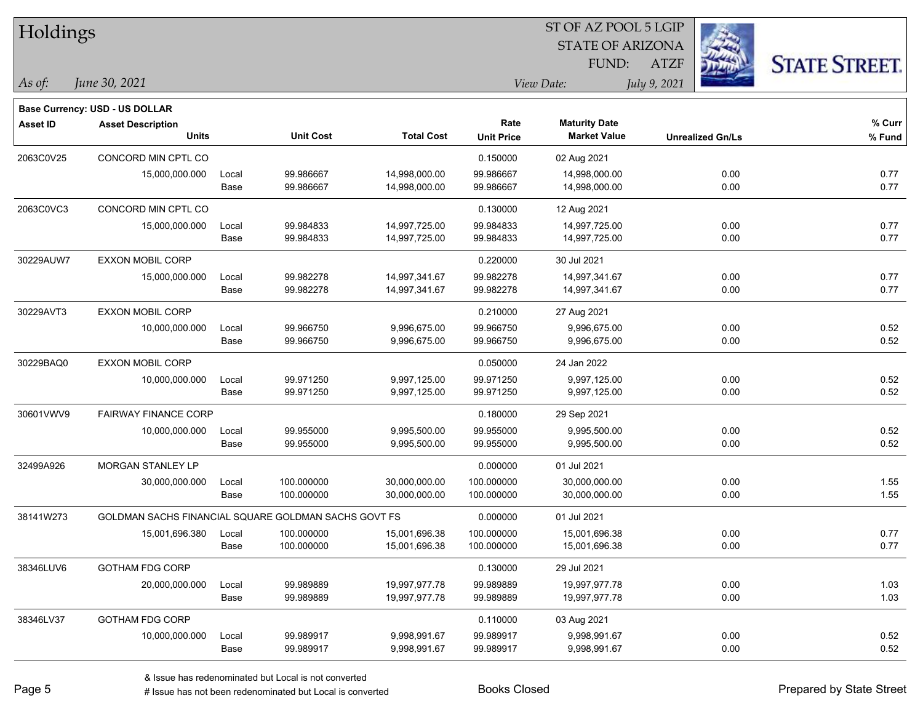| Holdings        |                                                      |       |                  |                   |                   | ST OF AZ POOL 5 LGIP    |              |                         |                      |
|-----------------|------------------------------------------------------|-------|------------------|-------------------|-------------------|-------------------------|--------------|-------------------------|----------------------|
|                 |                                                      |       |                  |                   |                   | <b>STATE OF ARIZONA</b> |              |                         |                      |
|                 |                                                      |       |                  |                   |                   | FUND:                   | <b>ATZF</b>  |                         | <b>STATE STREET.</b> |
| As of:          | June 30, 2021                                        |       |                  |                   |                   | View Date:              | July 9, 2021 |                         |                      |
|                 | <b>Base Currency: USD - US DOLLAR</b>                |       |                  |                   |                   |                         |              |                         |                      |
| <b>Asset ID</b> | <b>Asset Description</b>                             |       |                  |                   | Rate              | <b>Maturity Date</b>    |              |                         | % Curr               |
|                 | <b>Units</b>                                         |       | <b>Unit Cost</b> | <b>Total Cost</b> | <b>Unit Price</b> | <b>Market Value</b>     |              | <b>Unrealized Gn/Ls</b> | $%$ Fund             |
| 2063C0V25       | CONCORD MIN CPTL CO                                  |       |                  |                   | 0.150000          | 02 Aug 2021             |              |                         |                      |
|                 | 15,000,000.000                                       | Local | 99.986667        | 14,998,000.00     | 99.986667         | 14,998,000.00           |              | 0.00                    | 0.77                 |
|                 |                                                      | Base  | 99.986667        | 14,998,000.00     | 99.986667         | 14,998,000.00           |              | 0.00                    | 0.77                 |
| 2063C0VC3       | CONCORD MIN CPTL CO                                  |       |                  |                   | 0.130000          | 12 Aug 2021             |              |                         |                      |
|                 | 15,000,000.000                                       | Local | 99.984833        | 14,997,725.00     | 99.984833         | 14,997,725.00           |              | 0.00                    | 0.77                 |
|                 |                                                      | Base  | 99.984833        | 14,997,725.00     | 99.984833         | 14,997,725.00           |              | 0.00                    | 0.77                 |
| 30229AUW7       | <b>EXXON MOBIL CORP</b>                              |       |                  |                   | 0.220000          | 30 Jul 2021             |              |                         |                      |
|                 | 15,000,000.000                                       | Local | 99.982278        | 14,997,341.67     | 99.982278         | 14,997,341.67           |              | 0.00                    | 0.77                 |
|                 |                                                      | Base  | 99.982278        | 14,997,341.67     | 99.982278         | 14,997,341.67           |              | 0.00                    | 0.77                 |
| 30229AVT3       | <b>EXXON MOBIL CORP</b>                              |       |                  |                   | 0.210000          | 27 Aug 2021             |              |                         |                      |
|                 | 10,000,000.000                                       | Local | 99.966750        | 9,996,675.00      | 99.966750         | 9,996,675.00            |              | 0.00                    | 0.52                 |
|                 |                                                      | Base  | 99.966750        | 9,996,675.00      | 99.966750         | 9,996,675.00            |              | 0.00                    | 0.52                 |
| 30229BAQ0       | <b>EXXON MOBIL CORP</b>                              |       |                  |                   | 0.050000          | 24 Jan 2022             |              |                         |                      |
|                 | 10,000,000.000                                       | Local | 99.971250        | 9,997,125.00      | 99.971250         | 9,997,125.00            |              | 0.00                    | 0.52                 |
|                 |                                                      | Base  | 99.971250        | 9,997,125.00      | 99.971250         | 9,997,125.00            |              | 0.00                    | 0.52                 |
| 30601VWV9       | <b>FAIRWAY FINANCE CORP</b>                          |       |                  |                   | 0.180000          | 29 Sep 2021             |              |                         |                      |
|                 | 10,000,000.000                                       | Local | 99.955000        | 9,995,500.00      | 99.955000         | 9,995,500.00            |              | 0.00                    | 0.52                 |
|                 |                                                      | Base  | 99.955000        | 9,995,500.00      | 99.955000         | 9,995,500.00            |              | 0.00                    | 0.52                 |
| 32499A926       | MORGAN STANLEY LP                                    |       |                  |                   | 0.000000          | 01 Jul 2021             |              |                         |                      |
|                 | 30,000,000.000                                       | Local | 100.000000       | 30,000,000.00     | 100.000000        | 30,000,000.00           |              | 0.00                    | 1.55                 |
|                 |                                                      | Base  | 100.000000       | 30,000,000.00     | 100.000000        | 30,000,000.00           |              | 0.00                    | 1.55                 |
| 38141W273       | GOLDMAN SACHS FINANCIAL SQUARE GOLDMAN SACHS GOVT FS |       |                  |                   | 0.000000          | 01 Jul 2021             |              |                         |                      |
|                 | 15,001,696.380                                       | Local | 100.000000       | 15,001,696.38     | 100.000000        | 15,001,696.38           |              | 0.00                    | 0.77                 |
|                 |                                                      | Base  | 100.000000       | 15,001,696.38     | 100.000000        | 15,001,696.38           |              | 0.00                    | 0.77                 |
| 38346LUV6       | <b>GOTHAM FDG CORP</b>                               |       |                  |                   | 0.130000          | 29 Jul 2021             |              |                         |                      |
|                 | 20,000,000.000                                       | Local | 99.989889        | 19,997,977.78     | 99.989889         | 19,997,977.78           |              | 0.00                    | 1.03                 |
|                 |                                                      | Base  | 99.989889        | 19,997,977.78     | 99.989889         | 19,997,977.78           |              | 0.00                    | 1.03                 |
| 38346LV37       | <b>GOTHAM FDG CORP</b>                               |       |                  |                   | 0.110000          | 03 Aug 2021             |              |                         |                      |
|                 | 10,000,000.000                                       | Local | 99.989917        | 9,998,991.67      | 99.989917         | 9,998,991.67            |              | 0.00                    | 0.52                 |
|                 |                                                      | Base  | 99.989917        | 9,998,991.67      | 99.989917         | 9,998,991.67            |              | 0.00                    | 0.52                 |

# Issue has not been redenominated but Local is converted Books Closed Prepared by State Street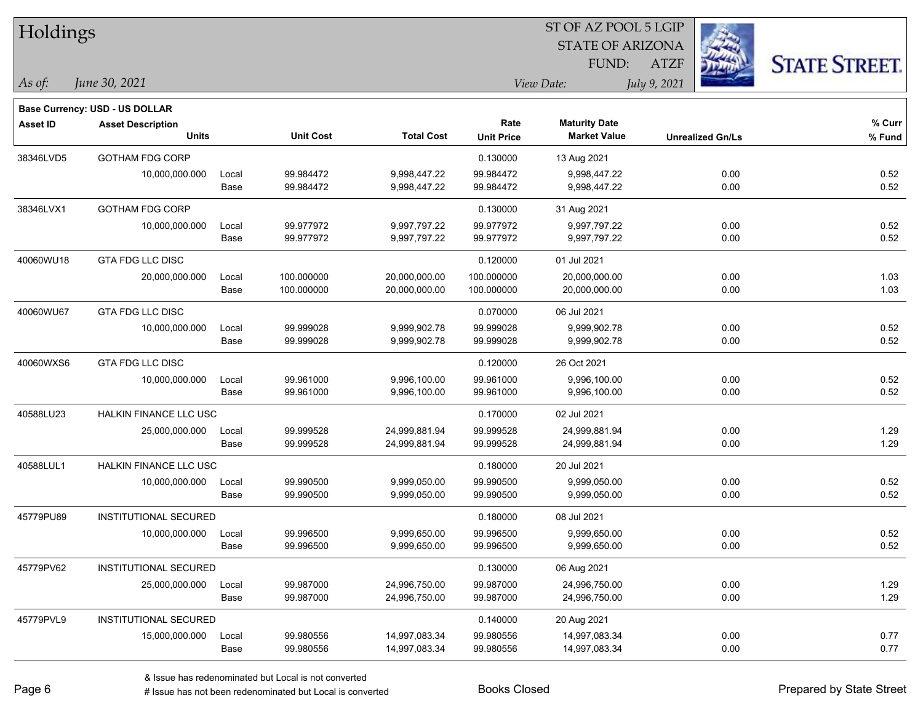| Holdings        |                                          |               |                          |                                |                           | SI OF AZ POOL 5 LGIP<br><b>STATE OF ARIZONA</b> | Ź,                      |                      |
|-----------------|------------------------------------------|---------------|--------------------------|--------------------------------|---------------------------|-------------------------------------------------|-------------------------|----------------------|
|                 |                                          |               |                          |                                |                           | FUND:                                           | <b>ATZF</b>             |                      |
| As of:          | June 30, 2021                            |               |                          |                                |                           | View Date:                                      | July 9, 2021            | <b>STATE STREET.</b> |
|                 | Base Currency: USD - US DOLLAR           |               |                          |                                |                           |                                                 |                         |                      |
| <b>Asset ID</b> | <b>Asset Description</b><br><b>Units</b> |               | <b>Unit Cost</b>         | <b>Total Cost</b>              | Rate<br><b>Unit Price</b> | <b>Maturity Date</b><br><b>Market Value</b>     | <b>Unrealized Gn/Ls</b> | $%$ Curr<br>% Fund   |
| 38346LVD5       | <b>GOTHAM FDG CORP</b>                   |               |                          |                                | 0.130000                  | 13 Aug 2021                                     |                         |                      |
|                 | 10,000,000.000                           | Local<br>Base | 99.984472<br>99.984472   | 9,998,447.22<br>9,998,447.22   | 99.984472<br>99.984472    | 9,998,447.22<br>9,998,447.22                    | 0.00<br>0.00            | 0.52<br>0.52         |
| 38346LVX1       | <b>GOTHAM FDG CORP</b>                   |               |                          |                                | 0.130000                  | 31 Aug 2021                                     |                         |                      |
|                 | 10,000,000.000                           | Local<br>Base | 99.977972<br>99.977972   | 9,997,797.22<br>9,997,797.22   | 99.977972<br>99.977972    | 9,997,797.22<br>9,997,797.22                    | 0.00<br>0.00            | 0.52<br>0.52         |
| 40060WU18       | GTA FDG LLC DISC                         |               |                          |                                | 0.120000                  | 01 Jul 2021                                     |                         |                      |
|                 | 20,000,000.000                           | Local<br>Base | 100.000000<br>100.000000 | 20,000,000.00<br>20,000,000.00 | 100.000000<br>100.000000  | 20,000,000.00<br>20,000,000.00                  | 0.00<br>0.00            | 1.03<br>1.03         |
| 40060WU67       | GTA FDG LLC DISC                         |               |                          |                                | 0.070000                  | 06 Jul 2021                                     |                         |                      |
|                 | 10,000,000.000                           | Local<br>Base | 99.999028<br>99.999028   | 9,999,902.78<br>9,999,902.78   | 99.999028<br>99.999028    | 9,999,902.78<br>9,999,902.78                    | 0.00<br>0.00            | 0.52<br>0.52         |
| 40060WXS6       | <b>GTA FDG LLC DISC</b>                  |               |                          |                                | 0.120000                  | 26 Oct 2021                                     |                         |                      |
|                 | 10,000,000.000                           | Local<br>Base | 99.961000<br>99.961000   | 9,996,100.00<br>9,996,100.00   | 99.961000<br>99.961000    | 9,996,100.00<br>9,996,100.00                    | 0.00<br>0.00            | 0.52<br>0.52         |
| 40588LU23       | HALKIN FINANCE LLC USC                   |               |                          |                                | 0.170000                  | 02 Jul 2021                                     |                         |                      |
|                 | 25,000,000.000                           | Local<br>Base | 99.999528<br>99.999528   | 24,999,881.94<br>24,999,881.94 | 99.999528<br>99.999528    | 24,999,881.94<br>24,999,881.94                  | 0.00<br>0.00            | 1.29<br>1.29         |
| 40588LUL1       | <b>HALKIN FINANCE LLC USC</b>            |               |                          |                                | 0.180000                  | 20 Jul 2021                                     |                         |                      |
|                 | 10,000,000.000                           | Local<br>Base | 99.990500<br>99.990500   | 9,999,050.00<br>9,999,050.00   | 99.990500<br>99.990500    | 9,999,050.00<br>9,999,050.00                    | 0.00<br>0.00            | 0.52<br>0.52         |
| 45779PU89       | <b>INSTITUTIONAL SECURED</b>             |               |                          |                                | 0.180000                  | 08 Jul 2021                                     |                         |                      |
|                 | 10,000,000.000                           | Local<br>Base | 99.996500<br>99.996500   | 9,999,650.00<br>9,999,650.00   | 99.996500<br>99.996500    | 9,999,650.00<br>9,999,650.00                    | 0.00<br>0.00            | 0.52<br>0.52         |
| 45779PV62       | INSTITUTIONAL SECURED                    |               |                          |                                | 0.130000                  | 06 Aug 2021                                     |                         |                      |
|                 | 25,000,000.000                           | Local<br>Base | 99.987000<br>99.987000   | 24,996,750.00<br>24,996,750.00 | 99.987000<br>99.987000    | 24,996,750.00<br>24,996,750.00                  | 0.00<br>0.00            | 1.29<br>1.29         |
| 45779PVL9       | <b>INSTITUTIONAL SECURED</b>             |               |                          |                                | 0.140000                  | 20 Aug 2021                                     |                         |                      |
|                 | 15,000,000.000                           | Local<br>Base | 99.980556<br>99.980556   | 14,997,083.34<br>14,997,083.34 | 99.980556<br>99.980556    | 14,997,083.34<br>14,997,083.34                  | 0.00<br>0.00            | 0.77<br>0.77         |

 $\overline{S}$   $\overline{S}$   $\overline{S}$   $\overline{S}$   $\overline{S}$   $\overline{S}$   $\overline{S}$   $\overline{S}$   $\overline{S}$   $\overline{S}$   $\overline{S}$   $\overline{S}$   $\overline{S}$   $\overline{S}$   $\overline{S}$   $\overline{S}$   $\overline{S}$   $\overline{S}$   $\overline{S}$   $\overline{S}$   $\overline{S}$   $\overline{S}$   $\overline{S}$   $\overline{S}$   $\overline{$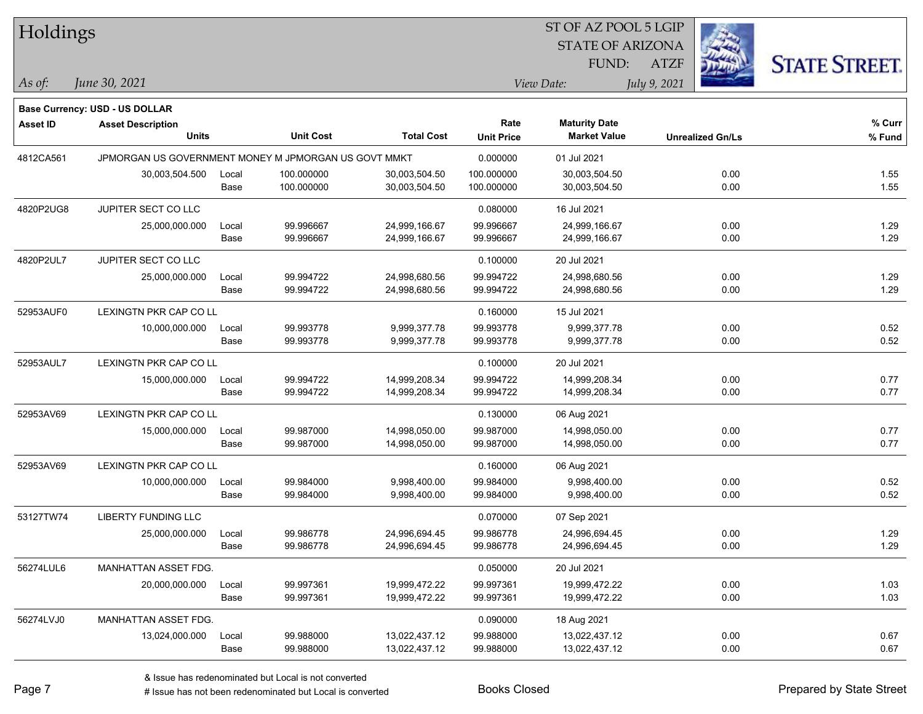| Holdings        |                                                      |       |                  |                   |                   | ST OF AZ POOL 5 LGIP    |                         |                      |
|-----------------|------------------------------------------------------|-------|------------------|-------------------|-------------------|-------------------------|-------------------------|----------------------|
|                 |                                                      |       |                  |                   |                   | <b>STATE OF ARIZONA</b> |                         |                      |
|                 |                                                      |       |                  |                   |                   | FUND:                   | <b>ATZF</b>             | <b>STATE STREET.</b> |
| As of:          | June 30, 2021                                        |       |                  |                   |                   | View Date:              | July 9, 2021            |                      |
|                 | <b>Base Currency: USD - US DOLLAR</b>                |       |                  |                   |                   |                         |                         |                      |
| <b>Asset ID</b> | <b>Asset Description</b>                             |       |                  |                   | Rate              | <b>Maturity Date</b>    |                         | % Curr               |
|                 | <b>Units</b>                                         |       | <b>Unit Cost</b> | <b>Total Cost</b> | <b>Unit Price</b> | <b>Market Value</b>     | <b>Unrealized Gn/Ls</b> | % Fund               |
| 4812CA561       | JPMORGAN US GOVERNMENT MONEY M JPMORGAN US GOVT MMKT |       |                  |                   | 0.000000          | 01 Jul 2021             |                         |                      |
|                 | 30,003,504.500                                       | Local | 100.000000       | 30,003,504.50     | 100.000000        | 30,003,504.50           | 0.00                    | 1.55                 |
|                 |                                                      | Base  | 100.000000       | 30,003,504.50     | 100.000000        | 30,003,504.50           | 0.00                    | 1.55                 |
| 4820P2UG8       | JUPITER SECT CO LLC                                  |       |                  |                   | 0.080000          | 16 Jul 2021             |                         |                      |
|                 | 25,000,000.000                                       | Local | 99.996667        | 24,999,166.67     | 99.996667         | 24,999,166.67           | 0.00                    | 1.29                 |
|                 |                                                      | Base  | 99.996667        | 24,999,166.67     | 99.996667         | 24,999,166.67           | 0.00                    | 1.29                 |
| 4820P2UL7       | JUPITER SECT CO LLC                                  |       |                  |                   | 0.100000          | 20 Jul 2021             |                         |                      |
|                 | 25,000,000.000                                       | Local | 99.994722        | 24,998,680.56     | 99.994722         | 24,998,680.56           | 0.00                    | 1.29                 |
|                 |                                                      | Base  | 99.994722        | 24,998,680.56     | 99.994722         | 24,998,680.56           | 0.00                    | 1.29                 |
| 52953AUF0       | LEXINGTN PKR CAP CO LL                               |       |                  |                   | 0.160000          | 15 Jul 2021             |                         |                      |
|                 | 10,000,000.000                                       | Local | 99.993778        | 9,999,377.78      | 99.993778         | 9,999,377.78            | 0.00                    | 0.52                 |
|                 |                                                      | Base  | 99.993778        | 9,999,377.78      | 99.993778         | 9,999,377.78            | 0.00                    | 0.52                 |
| 52953AUL7       | LEXINGTN PKR CAP CO LL                               |       |                  |                   | 0.100000          | 20 Jul 2021             |                         |                      |
|                 | 15,000,000.000                                       | Local | 99.994722        | 14,999,208.34     | 99.994722         | 14,999,208.34           | 0.00                    | 0.77                 |
|                 |                                                      | Base  | 99.994722        | 14,999,208.34     | 99.994722         | 14,999,208.34           | 0.00                    | 0.77                 |
| 52953AV69       | LEXINGTN PKR CAP CO LL                               |       |                  |                   | 0.130000          | 06 Aug 2021             |                         |                      |
|                 | 15,000,000.000                                       | Local | 99.987000        | 14,998,050.00     | 99.987000         | 14,998,050.00           | 0.00                    | 0.77                 |
|                 |                                                      | Base  | 99.987000        | 14,998,050.00     | 99.987000         | 14,998,050.00           | 0.00                    | 0.77                 |
| 52953AV69       | LEXINGTN PKR CAP CO LL                               |       |                  |                   | 0.160000          | 06 Aug 2021             |                         |                      |
|                 | 10,000,000.000                                       | Local | 99.984000        | 9,998,400.00      | 99.984000         | 9,998,400.00            | 0.00                    | 0.52                 |
|                 |                                                      | Base  | 99.984000        | 9,998,400.00      | 99.984000         | 9,998,400.00            | 0.00                    | 0.52                 |
| 53127TW74       | LIBERTY FUNDING LLC                                  |       |                  |                   | 0.070000          | 07 Sep 2021             |                         |                      |
|                 | 25,000,000.000                                       | Local | 99.986778        | 24,996,694.45     | 99.986778         | 24,996,694.45           | 0.00                    | 1.29                 |
|                 |                                                      | Base  | 99.986778        | 24,996,694.45     | 99.986778         | 24,996,694.45           | 0.00                    | 1.29                 |
| 56274LUL6       | MANHATTAN ASSET FDG.                                 |       |                  |                   | 0.050000          | 20 Jul 2021             |                         |                      |
|                 | 20,000,000.000                                       | Local | 99.997361        | 19,999,472.22     | 99.997361         | 19,999,472.22           | 0.00                    | 1.03                 |
|                 |                                                      | Base  | 99.997361        | 19,999,472.22     | 99.997361         | 19,999,472.22           | 0.00                    | 1.03                 |
| 56274LVJ0       | MANHATTAN ASSET FDG.                                 |       |                  |                   | 0.090000          | 18 Aug 2021             |                         |                      |
|                 | 13,024,000.000                                       | Local | 99.988000        | 13,022,437.12     | 99.988000         | 13,022,437.12           | 0.00                    | 0.67                 |
|                 |                                                      | Base  | 99.988000        | 13,022,437.12     | 99.988000         | 13,022,437.12           | 0.00                    | 0.67                 |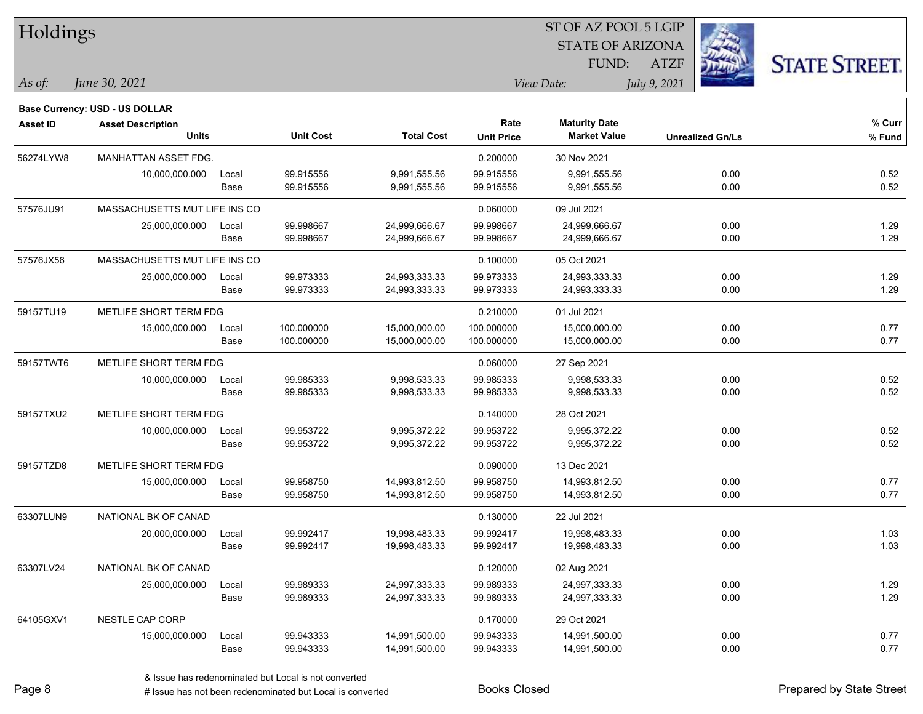| Holdings  |                                |       |                  |                   |                   | ST OF AZ POOL 5 LGIP    |                         |                      |
|-----------|--------------------------------|-------|------------------|-------------------|-------------------|-------------------------|-------------------------|----------------------|
|           |                                |       |                  |                   |                   | <b>STATE OF ARIZONA</b> |                         |                      |
|           |                                |       |                  |                   |                   | FUND:                   | <b>ATZF</b>             | <b>STATE STREET.</b> |
| As of:    | June 30, 2021                  |       |                  |                   |                   | View Date:              | July 9, 2021            |                      |
|           | Base Currency: USD - US DOLLAR |       |                  |                   |                   |                         |                         |                      |
| Asset ID  | <b>Asset Description</b>       |       |                  |                   | Rate              | <b>Maturity Date</b>    |                         | % Curr               |
|           | <b>Units</b>                   |       | <b>Unit Cost</b> | <b>Total Cost</b> | <b>Unit Price</b> | <b>Market Value</b>     | <b>Unrealized Gn/Ls</b> | % Fund               |
| 56274LYW8 | <b>MANHATTAN ASSET FDG.</b>    |       |                  |                   | 0.200000          | 30 Nov 2021             |                         |                      |
|           | 10,000,000.000                 | Local | 99.915556        | 9,991,555.56      | 99.915556         | 9,991,555.56            | 0.00                    | 0.52                 |
|           |                                | Base  | 99.915556        | 9,991,555.56      | 99.915556         | 9,991,555.56            | 0.00                    | 0.52                 |
| 57576JU91 | MASSACHUSETTS MUT LIFE INS CO  |       |                  |                   | 0.060000          | 09 Jul 2021             |                         |                      |
|           | 25,000,000.000                 | Local | 99.998667        | 24,999,666.67     | 99.998667         | 24,999,666.67           | 0.00                    | 1.29                 |
|           |                                | Base  | 99.998667        | 24,999,666.67     | 99.998667         | 24,999,666.67           | 0.00                    | 1.29                 |
| 57576JX56 | MASSACHUSETTS MUT LIFE INS CO  |       |                  |                   | 0.100000          | 05 Oct 2021             |                         |                      |
|           | 25,000,000.000                 | Local | 99.973333        | 24,993,333.33     | 99.973333         | 24,993,333.33           | 0.00                    | 1.29                 |
|           |                                | Base  | 99.973333        | 24,993,333.33     | 99.973333         | 24,993,333.33           | 0.00                    | 1.29                 |
| 59157TU19 | METLIFE SHORT TERM FDG         |       |                  |                   | 0.210000          | 01 Jul 2021             |                         |                      |
|           | 15,000,000.000                 | Local | 100.000000       | 15,000,000.00     | 100.000000        | 15,000,000.00           | 0.00                    | 0.77                 |
|           |                                | Base  | 100.000000       | 15,000,000.00     | 100.000000        | 15,000,000.00           | 0.00                    | 0.77                 |
| 59157TWT6 | METLIFE SHORT TERM FDG         |       |                  |                   | 0.060000          | 27 Sep 2021             |                         |                      |
|           | 10,000,000.000                 | Local | 99.985333        | 9,998,533.33      | 99.985333         | 9,998,533.33            | 0.00                    | 0.52                 |
|           |                                | Base  | 99.985333        | 9,998,533.33      | 99.985333         | 9,998,533.33            | 0.00                    | 0.52                 |
| 59157TXU2 | METLIFE SHORT TERM FDG         |       |                  |                   | 0.140000          | 28 Oct 2021             |                         |                      |
|           | 10,000,000.000                 | Local | 99.953722        | 9,995,372.22      | 99.953722         | 9,995,372.22            | 0.00                    | 0.52                 |
|           |                                | Base  | 99.953722        | 9,995,372.22      | 99.953722         | 9,995,372.22            | 0.00                    | 0.52                 |
| 59157TZD8 | METLIFE SHORT TERM FDG         |       |                  |                   | 0.090000          | 13 Dec 2021             |                         |                      |
|           | 15,000,000.000                 | Local | 99.958750        | 14,993,812.50     | 99.958750         | 14,993,812.50           | 0.00                    | 0.77                 |
|           |                                | Base  | 99.958750        | 14,993,812.50     | 99.958750         | 14,993,812.50           | 0.00                    | 0.77                 |
| 63307LUN9 | NATIONAL BK OF CANAD           |       |                  |                   | 0.130000          | 22 Jul 2021             |                         |                      |
|           | 20,000,000.000                 | Local | 99.992417        | 19,998,483.33     | 99.992417         | 19,998,483.33           | 0.00                    | 1.03                 |
|           |                                | Base  | 99.992417        | 19,998,483.33     | 99.992417         | 19,998,483.33           | 0.00                    | 1.03                 |
| 63307LV24 | NATIONAL BK OF CANAD           |       |                  |                   | 0.120000          | 02 Aug 2021             |                         |                      |
|           | 25,000,000.000                 | Local | 99.989333        | 24,997,333.33     | 99.989333         | 24,997,333.33           | 0.00                    | 1.29                 |
|           |                                | Base  | 99.989333        | 24,997,333.33     | 99.989333         | 24,997,333.33           | 0.00                    | 1.29                 |
| 64105GXV1 | NESTLE CAP CORP                |       |                  |                   | 0.170000          | 29 Oct 2021             |                         |                      |
|           | 15,000,000.000                 | Local | 99.943333        | 14,991,500.00     | 99.943333         | 14,991,500.00           | 0.00                    | 0.77                 |
|           |                                | Base  | 99.943333        | 14,991,500.00     | 99.943333         | 14,991,500.00           | 0.00                    | 0.77                 |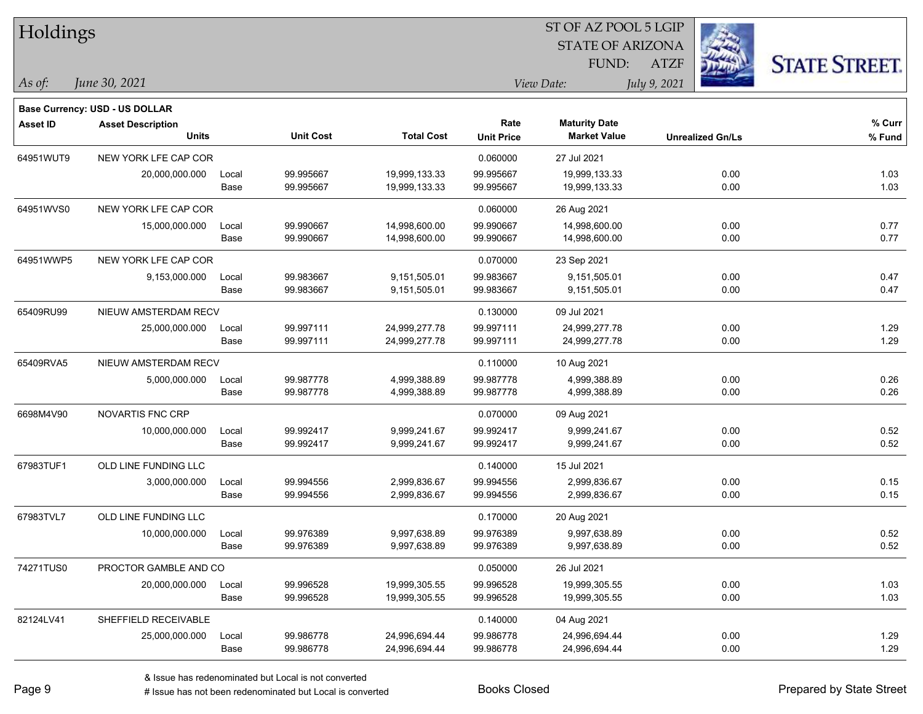| Holdings        |                                       |       |                  | ST OF AZ POOL 5 LGIP |                   |                         |              |                         |                      |  |
|-----------------|---------------------------------------|-------|------------------|----------------------|-------------------|-------------------------|--------------|-------------------------|----------------------|--|
|                 |                                       |       |                  |                      |                   | <b>STATE OF ARIZONA</b> |              |                         |                      |  |
|                 |                                       |       |                  |                      |                   | FUND:                   | <b>ATZF</b>  |                         | <b>STATE STREET.</b> |  |
| As of:          | June 30, 2021                         |       |                  |                      |                   | View Date:              | July 9, 2021 |                         |                      |  |
|                 | <b>Base Currency: USD - US DOLLAR</b> |       |                  |                      |                   |                         |              |                         |                      |  |
| <b>Asset ID</b> | <b>Asset Description</b>              |       |                  |                      | Rate              | <b>Maturity Date</b>    |              |                         | % Curr               |  |
|                 | <b>Units</b>                          |       | <b>Unit Cost</b> | <b>Total Cost</b>    | <b>Unit Price</b> | <b>Market Value</b>     |              | <b>Unrealized Gn/Ls</b> | % Fund               |  |
| 64951WUT9       | NEW YORK LFE CAP COR                  |       |                  |                      | 0.060000          | 27 Jul 2021             |              |                         |                      |  |
|                 | 20,000,000.000                        | Local | 99.995667        | 19,999,133.33        | 99.995667         | 19,999,133.33           |              | 0.00                    | 1.03                 |  |
|                 |                                       | Base  | 99.995667        | 19,999,133.33        | 99.995667         | 19,999,133.33           |              | 0.00                    | 1.03                 |  |
| 64951WVS0       | NEW YORK LFE CAP COR                  |       |                  |                      | 0.060000          | 26 Aug 2021             |              |                         |                      |  |
|                 | 15,000,000.000                        | Local | 99.990667        | 14,998,600.00        | 99.990667         | 14,998,600.00           |              | 0.00                    | 0.77                 |  |
|                 |                                       | Base  | 99.990667        | 14,998,600.00        | 99.990667         | 14,998,600.00           |              | 0.00                    | 0.77                 |  |
| 64951WWP5       | NEW YORK LFE CAP COR                  |       |                  |                      | 0.070000          | 23 Sep 2021             |              |                         |                      |  |
|                 | 9,153,000.000                         | Local | 99.983667        | 9,151,505.01         | 99.983667         | 9,151,505.01            |              | 0.00                    | 0.47                 |  |
|                 |                                       | Base  | 99.983667        | 9,151,505.01         | 99.983667         | 9,151,505.01            |              | 0.00                    | 0.47                 |  |
| 65409RU99       | NIEUW AMSTERDAM RECV                  |       |                  |                      | 0.130000          | 09 Jul 2021             |              |                         |                      |  |
|                 | 25,000,000.000                        | Local | 99.997111        | 24,999,277.78        | 99.997111         | 24,999,277.78           |              | 0.00                    | 1.29                 |  |
|                 |                                       | Base  | 99.997111        | 24,999,277.78        | 99.997111         | 24,999,277.78           |              | 0.00                    | 1.29                 |  |
| 65409RVA5       | NIEUW AMSTERDAM RECV                  |       |                  |                      | 0.110000          | 10 Aug 2021             |              |                         |                      |  |
|                 | 5,000,000.000                         | Local | 99.987778        | 4,999,388.89         | 99.987778         | 4,999,388.89            |              | 0.00                    | 0.26                 |  |
|                 |                                       | Base  | 99.987778        | 4,999,388.89         | 99.987778         | 4,999,388.89            |              | 0.00                    | 0.26                 |  |
| 6698M4V90       | <b>NOVARTIS FNC CRP</b>               |       |                  |                      | 0.070000          | 09 Aug 2021             |              |                         |                      |  |
|                 | 10,000,000.000                        | Local | 99.992417        | 9,999,241.67         | 99.992417         | 9,999,241.67            |              | 0.00                    | 0.52                 |  |
|                 |                                       | Base  | 99.992417        | 9,999,241.67         | 99.992417         | 9,999,241.67            |              | 0.00                    | 0.52                 |  |
| 67983TUF1       | OLD LINE FUNDING LLC                  |       |                  |                      | 0.140000          | 15 Jul 2021             |              |                         |                      |  |
|                 | 3,000,000.000                         | Local | 99.994556        | 2,999,836.67         | 99.994556         | 2,999,836.67            |              | 0.00                    | 0.15                 |  |
|                 |                                       | Base  | 99.994556        | 2,999,836.67         | 99.994556         | 2,999,836.67            |              | 0.00                    | 0.15                 |  |
| 67983TVL7       | OLD LINE FUNDING LLC                  |       |                  |                      | 0.170000          | 20 Aug 2021             |              |                         |                      |  |
|                 | 10,000,000.000                        | Local | 99.976389        | 9,997,638.89         | 99.976389         | 9,997,638.89            |              | 0.00                    | 0.52                 |  |
|                 |                                       | Base  | 99.976389        | 9,997,638.89         | 99.976389         | 9,997,638.89            |              | 0.00                    | 0.52                 |  |
| 74271TUS0       | PROCTOR GAMBLE AND CO                 |       |                  |                      | 0.050000          | 26 Jul 2021             |              |                         |                      |  |
|                 | 20,000,000.000                        | Local | 99.996528        | 19,999,305.55        | 99.996528         | 19,999,305.55           |              | 0.00                    | 1.03                 |  |
|                 |                                       | Base  | 99.996528        | 19,999,305.55        | 99.996528         | 19,999,305.55           |              | 0.00                    | 1.03                 |  |
| 82124LV41       | SHEFFIELD RECEIVABLE                  |       |                  |                      | 0.140000          | 04 Aug 2021             |              |                         |                      |  |
|                 | 25,000,000.000                        | Local | 99.986778        | 24,996,694.44        | 99.986778         | 24,996,694.44           |              | 0.00                    | 1.29                 |  |
|                 |                                       | Base  | 99.986778        | 24,996,694.44        | 99.986778         | 24,996,694.44           |              | 0.00                    | 1.29                 |  |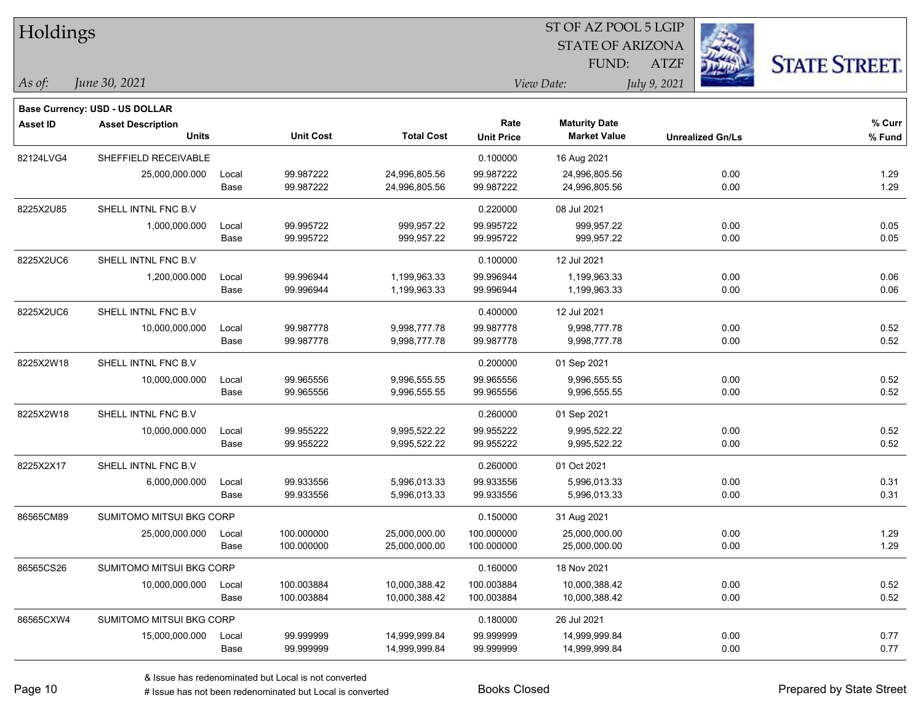| Holdings<br><b>STATE OF ARIZONA</b><br>FUND:<br><b>ATZF</b><br>June 30, 2021<br>$\vert$ As of:<br>View Date:<br>July 9, 2021 | <b>STATE STREET.</b> |
|------------------------------------------------------------------------------------------------------------------------------|----------------------|
|                                                                                                                              |                      |
|                                                                                                                              |                      |
|                                                                                                                              |                      |
| <b>Base Currency: USD - US DOLLAR</b>                                                                                        |                      |
| Rate<br><b>Maturity Date</b><br><b>Asset ID</b><br><b>Asset Description</b>                                                  | % Curr               |
| <b>Units</b><br><b>Unit Cost</b><br><b>Total Cost</b><br><b>Market Value</b><br><b>Unit Price</b><br><b>Unrealized Gn/Ls</b> | % Fund               |
| 82124LVG4<br>SHEFFIELD RECEIVABLE<br>0.100000<br>16 Aug 2021                                                                 |                      |
| 99.987222<br>0.00<br>25,000,000.000<br>24,996,805.56<br>99.987222<br>24,996,805.56<br>Local                                  | 1.29                 |
| 99.987222<br>99.987222<br>24,996,805.56<br>0.00<br>Base<br>24,996,805.56                                                     | 1.29                 |
| 8225X2U85<br>SHELL INTNL FNC B.V<br>0.220000<br>08 Jul 2021                                                                  |                      |
| 99.995722<br>999,957.22<br>99.995722<br>999,957.22<br>0.00<br>1,000,000.000<br>Local                                         | 0.05                 |
| 99.995722<br>999,957.22<br>99.995722<br>999,957.22<br>0.00<br>Base                                                           | 0.05                 |
| SHELL INTNL FNC B.V<br>8225X2UC6<br>0.100000<br>12 Jul 2021                                                                  |                      |
| 99.996944<br>1,200,000.000<br>1,199,963.33<br>99.996944<br>1,199,963.33<br>0.00<br>Local                                     | 0.06                 |
| 0.00<br>99.996944<br>1,199,963.33<br>99.996944<br>1,199,963.33<br>Base                                                       | 0.06                 |
| 8225X2UC6<br>SHELL INTNL FNC B.V<br>0.400000<br>12 Jul 2021                                                                  |                      |
| 99.987778<br>0.00<br>10,000,000.000<br>9,998,777.78<br>99.987778<br>9,998,777.78<br>Local                                    | 0.52                 |
| 99.987778<br>9,998,777.78<br>9,998,777.78<br>99.987778<br>0.00<br>Base                                                       | 0.52                 |
| 8225X2W18<br>SHELL INTNL FNC B.V<br>0.200000<br>01 Sep 2021                                                                  |                      |
| 99.965556<br>0.00<br>10,000,000.000<br>Local<br>9,996,555.55<br>99.965556<br>9,996,555.55                                    | 0.52                 |
| 99.965556<br>9,996,555.55<br>9,996,555.55<br>0.00<br>Base<br>99.965556                                                       | 0.52                 |
| SHELL INTNL FNC B.V<br>8225X2W18<br>0.260000<br>01 Sep 2021                                                                  |                      |
| 99.955222<br>10,000,000.000<br>9,995,522.22<br>99.955222<br>9,995,522.22<br>0.00<br>Local                                    | 0.52                 |
| 99.955222<br>9,995,522.22<br>99.955222<br>9,995,522.22<br>0.00<br>Base                                                       | 0.52                 |
| 8225X2X17<br>SHELL INTNL FNC B.V<br>0.260000<br>01 Oct 2021                                                                  |                      |
| 99.933556<br>0.00<br>6,000,000.000<br>5,996,013.33<br>99.933556<br>5,996,013.33<br>Local                                     | 0.31                 |
| 99.933556<br>99.933556<br>5,996,013.33<br>0.00<br>Base<br>5,996,013.33                                                       | 0.31                 |
| 86565CM89<br>SUMITOMO MITSUI BKG CORP<br>0.150000<br>31 Aug 2021                                                             |                      |
| 25,000,000.000<br>0.00<br>100.000000<br>25,000,000.00<br>100.000000<br>25,000,000.00<br>Local                                | 1.29                 |
| Base<br>100.000000<br>25,000,000.00<br>100.000000<br>25,000,000.00<br>0.00                                                   | 1.29                 |
| 86565CS26<br>SUMITOMO MITSUI BKG CORP<br>0.160000<br>18 Nov 2021                                                             |                      |
| 100.003884<br>100.003884<br>0.00<br>10,000,000.000<br>10,000,388.42<br>10,000,388.42<br>Local                                | 0.52                 |
| 100.003884<br>100.003884<br>0.00<br>Base<br>10,000,388.42<br>10,000,388.42                                                   | 0.52                 |
| 86565CXW4<br>SUMITOMO MITSUI BKG CORP<br>0.180000<br>26 Jul 2021                                                             |                      |
| 99.999999<br>99.999999<br>0.00<br>15,000,000.000<br>14,999,999.84<br>14,999,999.84<br>Local                                  | 0.77                 |
| Base<br>99.999999<br>99.999999<br>14,999,999.84<br>0.00<br>14,999,999.84                                                     | 0.77                 |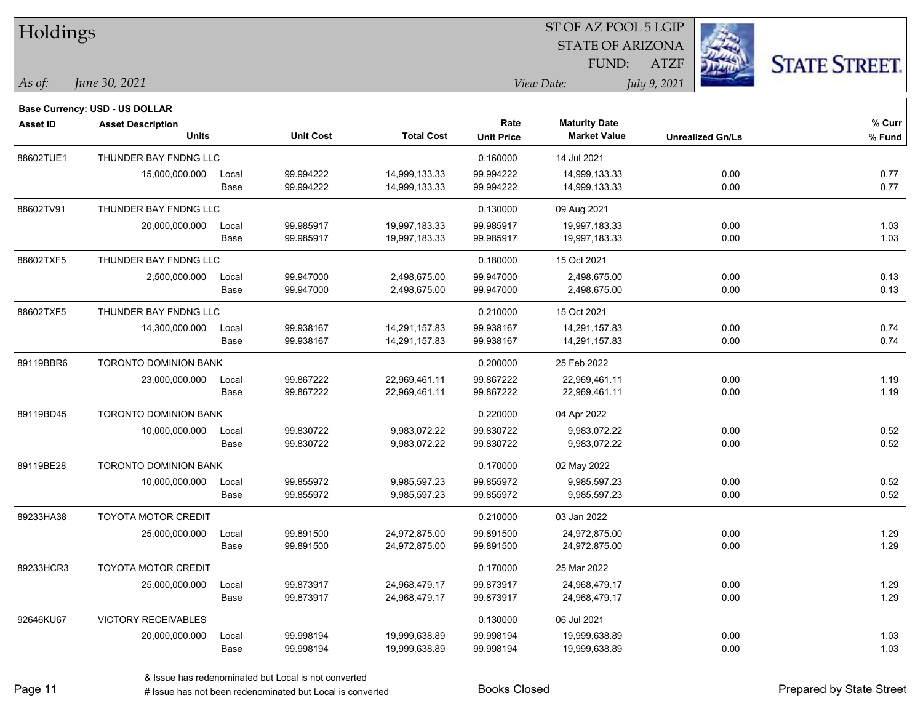| Holdings        |                                       |       |                  |                   | 51 OF AZ POOL 5 LGIP |                         |                         |                      |  |  |  |
|-----------------|---------------------------------------|-------|------------------|-------------------|----------------------|-------------------------|-------------------------|----------------------|--|--|--|
|                 |                                       |       |                  |                   |                      | <b>STATE OF ARIZONA</b> | in.                     |                      |  |  |  |
|                 |                                       |       |                  |                   |                      | FUND:                   | <b>ATZF</b>             | <b>STATE STREET.</b> |  |  |  |
| As of:          | June 30, 2021                         |       |                  |                   |                      | View Date:              | July 9, 2021            |                      |  |  |  |
|                 | <b>Base Currency: USD - US DOLLAR</b> |       |                  |                   |                      |                         |                         |                      |  |  |  |
| <b>Asset ID</b> | <b>Asset Description</b>              |       |                  |                   | Rate                 | <b>Maturity Date</b>    |                         | % Curr               |  |  |  |
|                 | <b>Units</b>                          |       | <b>Unit Cost</b> | <b>Total Cost</b> | <b>Unit Price</b>    | <b>Market Value</b>     | <b>Unrealized Gn/Ls</b> | % Fund               |  |  |  |
| 88602TUE1       | THUNDER BAY FNDNG LLC                 |       |                  |                   | 0.160000             | 14 Jul 2021             |                         |                      |  |  |  |
|                 | 15,000,000.000                        | Local | 99.994222        | 14,999,133.33     | 99.994222            | 14,999,133.33           | 0.00                    | 0.77                 |  |  |  |
|                 |                                       | Base  | 99.994222        | 14,999,133.33     | 99.994222            | 14,999,133.33           | 0.00                    | 0.77                 |  |  |  |
| 88602TV91       | THUNDER BAY FNDNG LLC                 |       |                  |                   | 0.130000             | 09 Aug 2021             |                         |                      |  |  |  |
|                 | 20,000,000.000                        | Local | 99.985917        | 19,997,183.33     | 99.985917            | 19,997,183.33           | 0.00                    | 1.03                 |  |  |  |
|                 |                                       | Base  | 99.985917        | 19,997,183.33     | 99.985917            | 19,997,183.33           | 0.00                    | 1.03                 |  |  |  |
| 88602TXF5       | THUNDER BAY FNDNG LLC                 |       |                  |                   | 0.180000             | 15 Oct 2021             |                         |                      |  |  |  |
|                 | 2,500,000.000                         | Local | 99.947000        | 2,498,675.00      | 99.947000            | 2,498,675.00            | 0.00                    | 0.13                 |  |  |  |
|                 |                                       | Base  | 99.947000        | 2,498,675.00      | 99.947000            | 2,498,675.00            | 0.00                    | 0.13                 |  |  |  |
| 88602TXF5       | THUNDER BAY FNDNG LLC                 |       |                  |                   | 0.210000             | 15 Oct 2021             |                         |                      |  |  |  |
|                 | 14,300,000.000                        | Local | 99.938167        | 14,291,157.83     | 99.938167            | 14,291,157.83           | 0.00                    | 0.74                 |  |  |  |
|                 |                                       | Base  | 99.938167        | 14,291,157.83     | 99.938167            | 14,291,157.83           | 0.00                    | 0.74                 |  |  |  |
| 89119BBR6       | <b>TORONTO DOMINION BANK</b>          |       |                  |                   | 0.200000             | 25 Feb 2022             |                         |                      |  |  |  |
|                 | 23,000,000.000                        | Local | 99.867222        | 22,969,461.11     | 99.867222            | 22,969,461.11           | 0.00                    | 1.19                 |  |  |  |
|                 |                                       | Base  | 99.867222        | 22,969,461.11     | 99.867222            | 22,969,461.11           | 0.00                    | 1.19                 |  |  |  |
| 89119BD45       | <b>TORONTO DOMINION BANK</b>          |       |                  |                   | 0.220000             | 04 Apr 2022             |                         |                      |  |  |  |
|                 | 10,000,000.000                        | Local | 99.830722        | 9,983,072.22      | 99.830722            | 9,983,072.22            | 0.00                    | 0.52                 |  |  |  |
|                 |                                       | Base  | 99.830722        | 9,983,072.22      | 99.830722            | 9,983,072.22            | 0.00                    | 0.52                 |  |  |  |
| 89119BE28       | TORONTO DOMINION BANK                 |       |                  |                   | 0.170000             | 02 May 2022             |                         |                      |  |  |  |
|                 | 10,000,000.000                        | Local | 99.855972        | 9,985,597.23      | 99.855972            | 9,985,597.23            | 0.00                    | 0.52                 |  |  |  |
|                 |                                       | Base  | 99.855972        | 9,985,597.23      | 99.855972            | 9,985,597.23            | 0.00                    | 0.52                 |  |  |  |
| 89233HA38       | <b>TOYOTA MOTOR CREDIT</b>            |       |                  |                   | 0.210000             | 03 Jan 2022             |                         |                      |  |  |  |
|                 | 25,000,000.000                        | Local | 99.891500        | 24,972,875.00     | 99.891500            | 24,972,875.00           | 0.00                    | 1.29                 |  |  |  |
|                 |                                       | Base  | 99.891500        | 24,972,875.00     | 99.891500            | 24,972,875.00           | 0.00                    | 1.29                 |  |  |  |
| 89233HCR3       | <b>TOYOTA MOTOR CREDIT</b>            |       |                  |                   | 0.170000             | 25 Mar 2022             |                         |                      |  |  |  |
|                 | 25,000,000.000                        | Local | 99.873917        | 24,968,479.17     | 99.873917            | 24,968,479.17           | 0.00                    | 1.29                 |  |  |  |
|                 |                                       | Base  | 99.873917        | 24,968,479.17     | 99.873917            | 24,968,479.17           | 0.00                    | 1.29                 |  |  |  |
| 92646KU67       | VICTORY RECEIVABLES                   |       |                  |                   | 0.130000             | 06 Jul 2021             |                         |                      |  |  |  |
|                 | 20,000,000.000                        | Local | 99.998194        | 19,999,638.89     | 99.998194            | 19,999,638.89           | 0.00                    | 1.03                 |  |  |  |
|                 |                                       | Base  | 99.998194        | 19,999,638.89     | 99.998194            | 19,999,638.89           | 0.00                    | 1.03                 |  |  |  |

 $\overline{S}$   $\overline{S}$   $\overline{S}$   $\overline{S}$   $\overline{S}$   $\overline{S}$   $\overline{S}$   $\overline{S}$   $\overline{S}$   $\overline{S}$   $\overline{S}$   $\overline{S}$   $\overline{S}$   $\overline{S}$   $\overline{S}$   $\overline{S}$   $\overline{S}$   $\overline{S}$   $\overline{S}$   $\overline{S}$   $\overline{S}$   $\overline{S}$   $\overline{S}$   $\overline{S}$   $\overline{$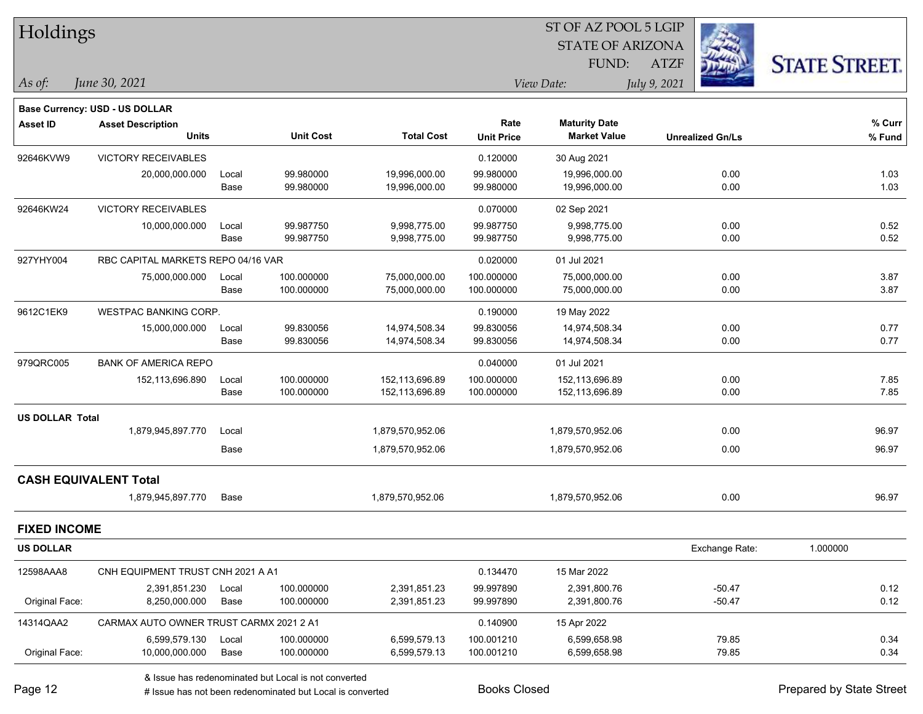| Holdings               |                                         |       |                                                                 |                   |                   | ST OF AZ POOL 5 LGIP    |                         |                      |  |
|------------------------|-----------------------------------------|-------|-----------------------------------------------------------------|-------------------|-------------------|-------------------------|-------------------------|----------------------|--|
|                        |                                         |       |                                                                 |                   |                   | <b>STATE OF ARIZONA</b> |                         |                      |  |
|                        |                                         |       |                                                                 |                   |                   | FUND:                   | <b>ATZF</b>             | <b>STATE STREET.</b> |  |
| $\vert$ As of:         | June 30, 2021                           |       |                                                                 |                   |                   | View Date:              | July 9, 2021            |                      |  |
|                        | Base Currency: USD - US DOLLAR          |       |                                                                 |                   |                   |                         |                         |                      |  |
| <b>Asset ID</b>        | <b>Asset Description</b>                |       |                                                                 |                   | Rate              | <b>Maturity Date</b>    |                         | $%$ Curr             |  |
|                        | <b>Units</b>                            |       | <b>Unit Cost</b>                                                | <b>Total Cost</b> | <b>Unit Price</b> | <b>Market Value</b>     | <b>Unrealized Gn/Ls</b> | % Fund               |  |
| 92646KVW9              | VICTORY RECEIVABLES                     |       |                                                                 |                   | 0.120000          | 30 Aug 2021             |                         |                      |  |
|                        | 20,000,000.000                          | Local | 99.980000                                                       | 19,996,000.00     | 99.980000         | 19,996,000.00           | 0.00                    | 1.03                 |  |
|                        |                                         | Base  | 99.980000                                                       | 19,996,000.00     | 99.980000         | 19,996,000.00           | 0.00                    | 1.03                 |  |
| 92646KW24              | <b>VICTORY RECEIVABLES</b>              |       |                                                                 |                   | 0.070000          | 02 Sep 2021             |                         |                      |  |
|                        | 10,000,000.000                          | Local | 99.987750                                                       | 9,998,775.00      | 99.987750         | 9,998,775.00            | 0.00                    | 0.52                 |  |
|                        |                                         | Base  | 99.987750                                                       | 9,998,775.00      | 99.987750         | 9,998,775.00            | 0.00                    | 0.52                 |  |
| 927YHY004              | RBC CAPITAL MARKETS REPO 04/16 VAR      |       |                                                                 |                   | 0.020000          | 01 Jul 2021             |                         |                      |  |
|                        | 75,000,000.000                          | Local | 100.000000                                                      | 75,000,000.00     | 100.000000        | 75,000,000.00           | 0.00                    | 3.87                 |  |
|                        |                                         | Base  | 100.000000                                                      | 75,000,000.00     | 100.000000        | 75,000,000.00           | 0.00                    | 3.87                 |  |
| 9612C1EK9              | WESTPAC BANKING CORP.                   |       |                                                                 |                   | 0.190000          | 19 May 2022             |                         |                      |  |
|                        | 15,000,000.000                          | Local | 99.830056                                                       | 14,974,508.34     | 99.830056         | 14,974,508.34           | 0.00                    | 0.77                 |  |
|                        |                                         | Base  | 99.830056                                                       | 14,974,508.34     | 99.830056         | 14,974,508.34           | 0.00                    | 0.77                 |  |
| 979QRC005              | <b>BANK OF AMERICA REPO</b>             |       |                                                                 |                   | 0.040000          | 01 Jul 2021             |                         |                      |  |
|                        | 152,113,696.890                         | Local | 100.000000                                                      | 152,113,696.89    | 100.000000        | 152,113,696.89          | 0.00                    | 7.85                 |  |
|                        |                                         | Base  | 100.000000                                                      | 152,113,696.89    | 100.000000        | 152,113,696.89          | 0.00                    | 7.85                 |  |
| <b>US DOLLAR Total</b> |                                         |       |                                                                 |                   |                   |                         |                         |                      |  |
|                        | 1,879,945,897.770                       | Local |                                                                 | 1,879,570,952.06  |                   | 1,879,570,952.06        | 0.00                    | 96.97                |  |
|                        |                                         | Base  |                                                                 | 1,879,570,952.06  |                   | 1,879,570,952.06        | 0.00                    | 96.97                |  |
|                        | <b>CASH EQUIVALENT Total</b>            |       |                                                                 |                   |                   |                         |                         |                      |  |
|                        | 1,879,945,897.770                       | Base  |                                                                 | 1,879,570,952.06  |                   | 1,879,570,952.06        | 0.00                    | 96.97                |  |
| <b>FIXED INCOME</b>    |                                         |       |                                                                 |                   |                   |                         |                         |                      |  |
| <b>US DOLLAR</b>       |                                         |       |                                                                 |                   |                   |                         | Exchange Rate:          | 1.000000             |  |
| 12598AAA8              | CNH EQUIPMENT TRUST CNH 2021 A A1       |       |                                                                 |                   | 0.134470          | 15 Mar 2022             |                         |                      |  |
|                        | 2,391,851.230                           | Local | 100.000000                                                      | 2,391,851.23      | 99.997890         | 2,391,800.76            | $-50.47$                | 0.12                 |  |
| Original Face:         | 8,250,000.000                           | Base  | 100.000000                                                      | 2,391,851.23      | 99.997890         | 2,391,800.76            | $-50.47$                | 0.12                 |  |
| 14314QAA2              | CARMAX AUTO OWNER TRUST CARMX 2021 2 A1 |       |                                                                 |                   | 0.140900          | 15 Apr 2022             |                         |                      |  |
|                        | 6,599,579.130                           | Local | 100.000000                                                      | 6,599,579.13      | 100.001210        | 6,599,658.98            | 79.85                   | 0.34                 |  |
| Original Face:         | 10,000,000.000                          | Base  | 100.000000                                                      | 6,599,579.13      | 100.001210        | 6,599,658.98            | 79.85                   | 0.34                 |  |
|                        |                                         |       | <sup>2</sup> locus has redepeningted but Local is not converted |                   |                   |                         |                         |                      |  |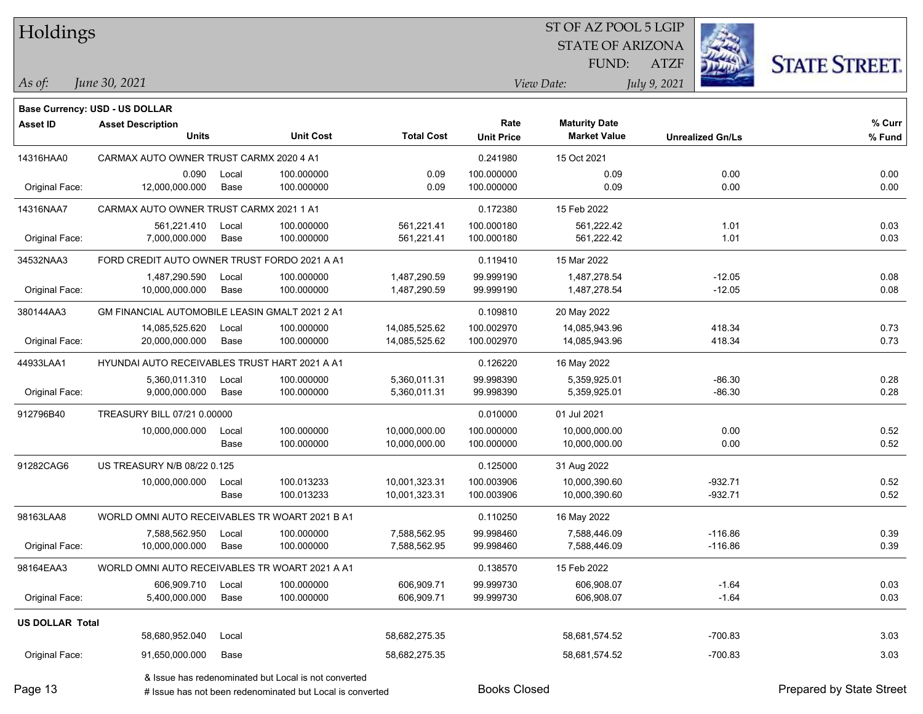| Holdings               |                                                       |       |                                                           |                   |                     | ST OF AZ POOL 5 LGIP    |                         |                          |
|------------------------|-------------------------------------------------------|-------|-----------------------------------------------------------|-------------------|---------------------|-------------------------|-------------------------|--------------------------|
|                        |                                                       |       |                                                           |                   |                     | <b>STATE OF ARIZONA</b> |                         |                          |
|                        |                                                       |       |                                                           |                   |                     | FUND:                   | <b>ATZF</b>             | <b>STATE STREET.</b>     |
| $\vert$ As of:         | June 30, 2021                                         |       |                                                           |                   |                     | View Date:              | July 9, 2021            |                          |
|                        | Base Currency: USD - US DOLLAR                        |       |                                                           |                   |                     |                         |                         |                          |
| <b>Asset ID</b>        | <b>Asset Description</b>                              |       |                                                           |                   | Rate                | <b>Maturity Date</b>    |                         | % Curr                   |
|                        | <b>Units</b>                                          |       | <b>Unit Cost</b>                                          | <b>Total Cost</b> | <b>Unit Price</b>   | <b>Market Value</b>     | <b>Unrealized Gn/Ls</b> | % Fund                   |
| 14316HAA0              | CARMAX AUTO OWNER TRUST CARMX 2020 4 A1               |       |                                                           |                   | 0.241980            | 15 Oct 2021             |                         |                          |
|                        | 0.090                                                 | Local | 100.000000                                                | 0.09              | 100.000000          | 0.09                    | 0.00                    | 0.00                     |
| Original Face:         | 12,000,000.000                                        | Base  | 100.000000                                                | 0.09              | 100.000000          | 0.09                    | 0.00                    | 0.00                     |
| 14316NAA7              | CARMAX AUTO OWNER TRUST CARMX 2021 1 A1               |       |                                                           |                   | 0.172380            | 15 Feb 2022             |                         |                          |
|                        | 561,221.410                                           | Local | 100.000000                                                | 561,221.41        | 100.000180          | 561,222.42              | 1.01                    | 0.03                     |
| Original Face:         | 7,000,000.000                                         | Base  | 100.000000                                                | 561,221.41        | 100.000180          | 561,222.42              | 1.01                    | 0.03                     |
| 34532NAA3              | FORD CREDIT AUTO OWNER TRUST FORDO 2021 A A1          |       |                                                           |                   | 0.119410            | 15 Mar 2022             |                         |                          |
|                        | 1,487,290.590                                         | Local | 100.000000                                                | 1,487,290.59      | 99.999190           | 1,487,278.54            | $-12.05$                | 0.08                     |
| Original Face:         | 10,000,000.000                                        | Base  | 100.000000                                                | 1,487,290.59      | 99.999190           | 1,487,278.54            | $-12.05$                | 0.08                     |
| 380144AA3              | <b>GM FINANCIAL AUTOMOBILE LEASIN GMALT 2021 2 A1</b> |       |                                                           |                   | 0.109810            | 20 May 2022             |                         |                          |
|                        | 14,085,525.620                                        | Local | 100.000000                                                | 14,085,525.62     | 100.002970          | 14,085,943.96           | 418.34                  | 0.73                     |
| Original Face:         | 20,000,000.000                                        | Base  | 100.000000                                                | 14,085,525.62     | 100.002970          | 14,085,943.96           | 418.34                  | 0.73                     |
| 44933LAA1              | HYUNDAI AUTO RECEIVABLES TRUST HART 2021 A A1         |       |                                                           |                   | 0.126220            | 16 May 2022             |                         |                          |
|                        | 5,360,011.310                                         | Local | 100.000000                                                | 5,360,011.31      | 99.998390           | 5,359,925.01            | $-86.30$                | 0.28                     |
| Original Face:         | 9,000,000.000                                         | Base  | 100.000000                                                | 5,360,011.31      | 99.998390           | 5,359,925.01            | $-86.30$                | 0.28                     |
| 912796B40              | TREASURY BILL 07/21 0.00000                           |       |                                                           |                   | 0.010000            | 01 Jul 2021             |                         |                          |
|                        | 10,000,000.000                                        | Local | 100.000000                                                | 10,000,000.00     | 100.000000          | 10,000,000.00           | 0.00                    | 0.52                     |
|                        |                                                       | Base  | 100.000000                                                | 10,000,000.00     | 100.000000          | 10,000,000.00           | 0.00                    | 0.52                     |
| 91282CAG6              | US TREASURY N/B 08/22 0.125                           |       |                                                           |                   | 0.125000            | 31 Aug 2022             |                         |                          |
|                        | 10,000,000.000                                        | Local | 100.013233                                                | 10,001,323.31     | 100.003906          | 10,000,390.60           | $-932.71$               | 0.52                     |
|                        |                                                       | Base  | 100.013233                                                | 10,001,323.31     | 100.003906          | 10,000,390.60           | $-932.71$               | 0.52                     |
| 98163LAA8              | WORLD OMNI AUTO RECEIVABLES TR WOART 2021 B A1        |       |                                                           |                   | 0.110250            | 16 May 2022             |                         |                          |
|                        | 7,588,562.950                                         | Local | 100.000000                                                | 7,588,562.95      | 99.998460           | 7,588,446.09            | $-116.86$               | 0.39                     |
| Original Face:         | 10,000,000.000                                        | Base  | 100.000000                                                | 7,588,562.95      | 99.998460           | 7,588,446.09            | $-116.86$               | 0.39                     |
| 98164EAA3              | WORLD OMNI AUTO RECEIVABLES TR WOART 2021 A A1        |       |                                                           |                   | 0.138570            | 15 Feb 2022             |                         |                          |
|                        | 606,909.710                                           | Local | 100.000000                                                | 606,909.71        | 99.999730           | 606,908.07              | $-1.64$                 | 0.03                     |
| Original Face:         | 5,400,000.000                                         | Base  | 100.000000                                                | 606,909.71        | 99.999730           | 606,908.07              | $-1.64$                 | 0.03                     |
| <b>US DOLLAR Total</b> |                                                       |       |                                                           |                   |                     |                         |                         |                          |
|                        | 58,680,952.040                                        | Local |                                                           | 58,682,275.35     |                     | 58,681,574.52           | $-700.83$               | 3.03                     |
| Original Face:         | 91,650,000.000                                        | Base  |                                                           | 58,682,275.35     |                     | 58,681,574.52           | $-700.83$               | 3.03                     |
|                        |                                                       |       | & Issue has redenominated but Local is not converted      |                   |                     |                         |                         |                          |
| Page 13                |                                                       |       | # Issue has not been redenominated but Local is converted |                   | <b>Books Closed</b> |                         |                         | Prepared by State Street |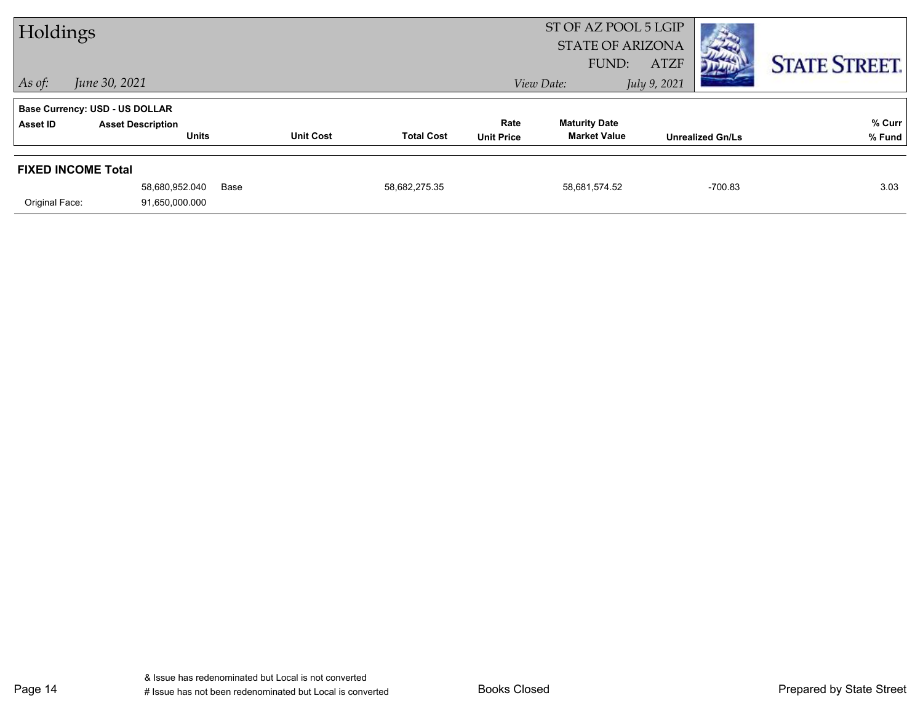| ST OF AZ POOL 5 LGIP<br>Holdings<br><b>STATE OF ARIZONA</b><br>FUND: |                                          |      |                  |                   | <b>ATZF</b>               |                                             | <b>STATE STREET.</b> |                         |                  |
|----------------------------------------------------------------------|------------------------------------------|------|------------------|-------------------|---------------------------|---------------------------------------------|----------------------|-------------------------|------------------|
| $ $ As of:                                                           | June 30, 2021                            |      |                  |                   |                           | View Date:                                  | July 9, 2021         |                         |                  |
|                                                                      | <b>Base Currency: USD - US DOLLAR</b>    |      |                  |                   |                           |                                             |                      |                         |                  |
| Asset ID                                                             | <b>Asset Description</b><br><b>Units</b> |      | <b>Unit Cost</b> | <b>Total Cost</b> | Rate<br><b>Unit Price</b> | <b>Maturity Date</b><br><b>Market Value</b> |                      | <b>Unrealized Gn/Ls</b> | % Curr<br>% Fund |
| <b>FIXED INCOME Total</b>                                            | 58,680,952.040                           | Base |                  | 58,682,275.35     |                           | 58,681,574.52                               |                      | $-700.83$               | 3.03             |
| Original Face:                                                       | 91,650,000.000                           |      |                  |                   |                           |                                             |                      |                         |                  |

Page 14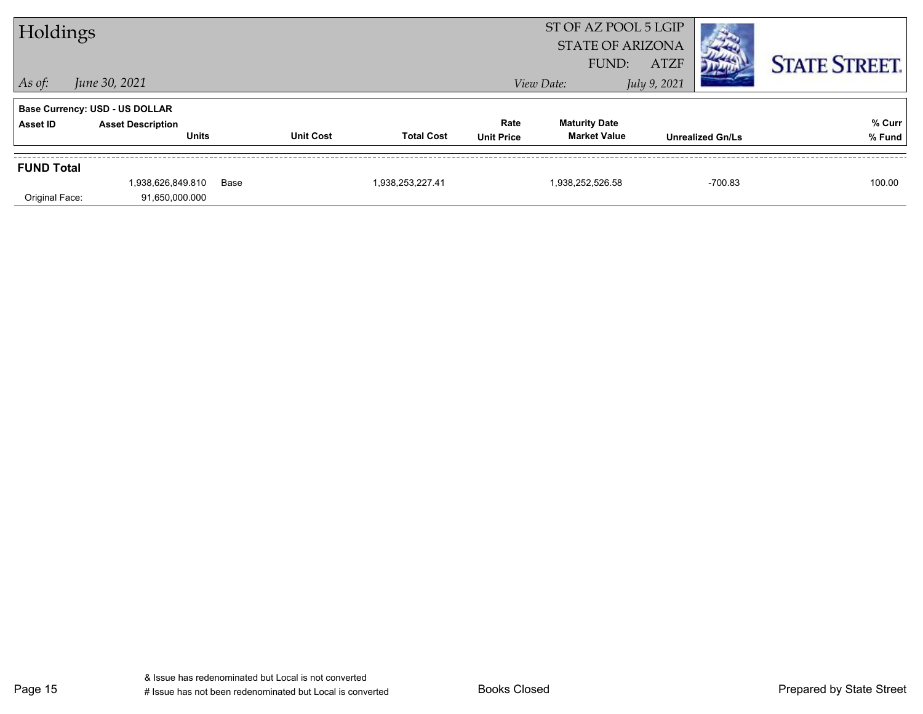| Holdings          |                                          |      |                  |                   |                           | ST OF AZ POOL 5 LGIP<br><b>STATE OF ARIZONA</b> |              |                         |                      |
|-------------------|------------------------------------------|------|------------------|-------------------|---------------------------|-------------------------------------------------|--------------|-------------------------|----------------------|
|                   |                                          |      |                  |                   |                           | FUND:                                           | <b>ATZF</b>  |                         | <b>STATE STREET.</b> |
| $\vert$ As of:    | June 30, 2021                            |      |                  |                   |                           | View Date:                                      | July 9, 2021 |                         |                      |
|                   | <b>Base Currency: USD - US DOLLAR</b>    |      |                  |                   |                           |                                                 |              |                         |                      |
| <b>Asset ID</b>   | <b>Asset Description</b><br><b>Units</b> |      | <b>Unit Cost</b> | <b>Total Cost</b> | Rate<br><b>Unit Price</b> | <b>Maturity Date</b><br><b>Market Value</b>     |              | <b>Unrealized Gn/Ls</b> | % Curr<br>% Fund     |
|                   |                                          |      |                  |                   |                           |                                                 |              |                         |                      |
| <b>FUND Total</b> |                                          |      |                  |                   |                           |                                                 |              |                         |                      |
|                   | 1,938,626,849.810                        | Base |                  | 1,938,253,227.41  |                           | 1,938,252,526.58                                |              | $-700.83$               | 100.00               |
| Original Face:    | 91,650,000.000                           |      |                  |                   |                           |                                                 |              |                         |                      |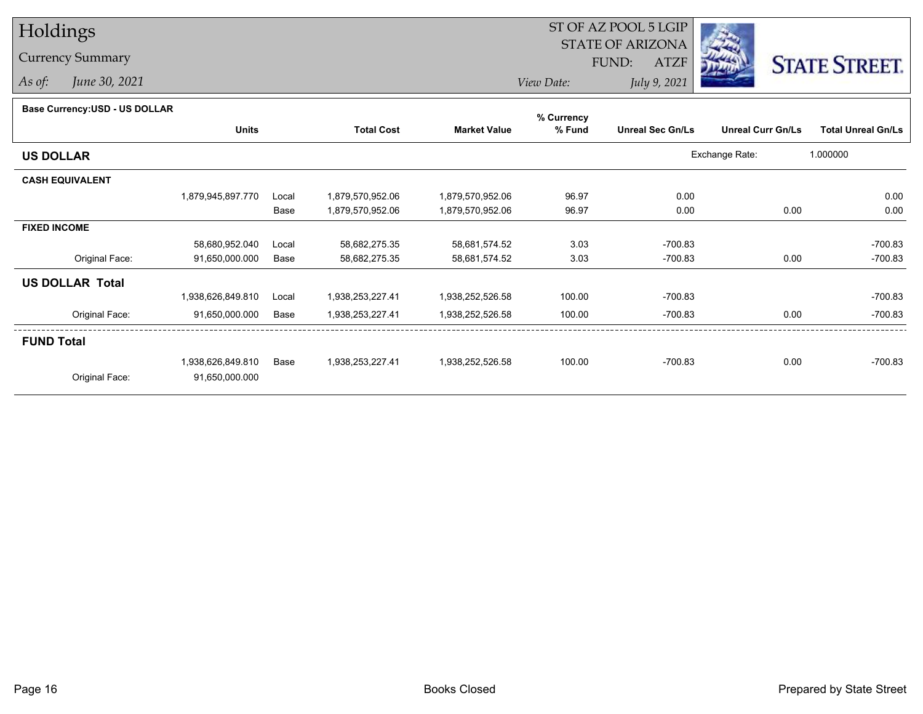## Holdings

## Currency Summary

*As of: June 30, 2021*

## ST OF AZ POOL 5 LGIP STATE OF ARIZONAATZF FUND:



*View Date:July 9, 2021*

| Base Currency: USD - US DOLLAR |  |
|--------------------------------|--|
|--------------------------------|--|

| Dase Ourlelicy.OOD - OO DOLLAR | <b>Units</b>      |       | <b>Total Cost</b> | <b>Market Value</b> | % Currency<br>% Fund | <b>Unreal Sec Gn/Ls</b> | <b>Unreal Curr Gn/Ls</b> | <b>Total Unreal Gn/Ls</b> |
|--------------------------------|-------------------|-------|-------------------|---------------------|----------------------|-------------------------|--------------------------|---------------------------|
| <b>US DOLLAR</b>               |                   |       |                   |                     |                      |                         | Exchange Rate:           | 1.000000                  |
| <b>CASH EQUIVALENT</b>         |                   |       |                   |                     |                      |                         |                          |                           |
|                                | 1,879,945,897.770 | Local | 1,879,570,952.06  | 1,879,570,952.06    | 96.97                | 0.00                    |                          | 0.00                      |
|                                |                   | Base  | 1,879,570,952.06  | 1,879,570,952.06    | 96.97                | 0.00                    | 0.00                     | 0.00                      |
| <b>FIXED INCOME</b>            |                   |       |                   |                     |                      |                         |                          |                           |
|                                | 58,680,952.040    | Local | 58,682,275.35     | 58,681,574.52       | 3.03                 | $-700.83$               |                          | $-700.83$                 |
| Original Face:                 | 91,650,000.000    | Base  | 58,682,275.35     | 58,681,574.52       | 3.03                 | $-700.83$               | 0.00                     | $-700.83$                 |
| <b>US DOLLAR Total</b>         |                   |       |                   |                     |                      |                         |                          |                           |
|                                | 1,938,626,849.810 | Local | 1,938,253,227.41  | 1,938,252,526.58    | 100.00               | $-700.83$               |                          | $-700.83$                 |
| Original Face:                 | 91,650,000.000    | Base  | 1,938,253,227.41  | 1,938,252,526.58    | 100.00               | $-700.83$               | 0.00                     | $-700.83$                 |
| <b>FUND Total</b>              |                   |       |                   |                     |                      |                         |                          |                           |
|                                | 1,938,626,849.810 | Base  | 1,938,253,227.41  | 1,938,252,526.58    | 100.00               | $-700.83$               | 0.00                     | $-700.83$                 |
| Original Face:                 | 91,650,000.000    |       |                   |                     |                      |                         |                          |                           |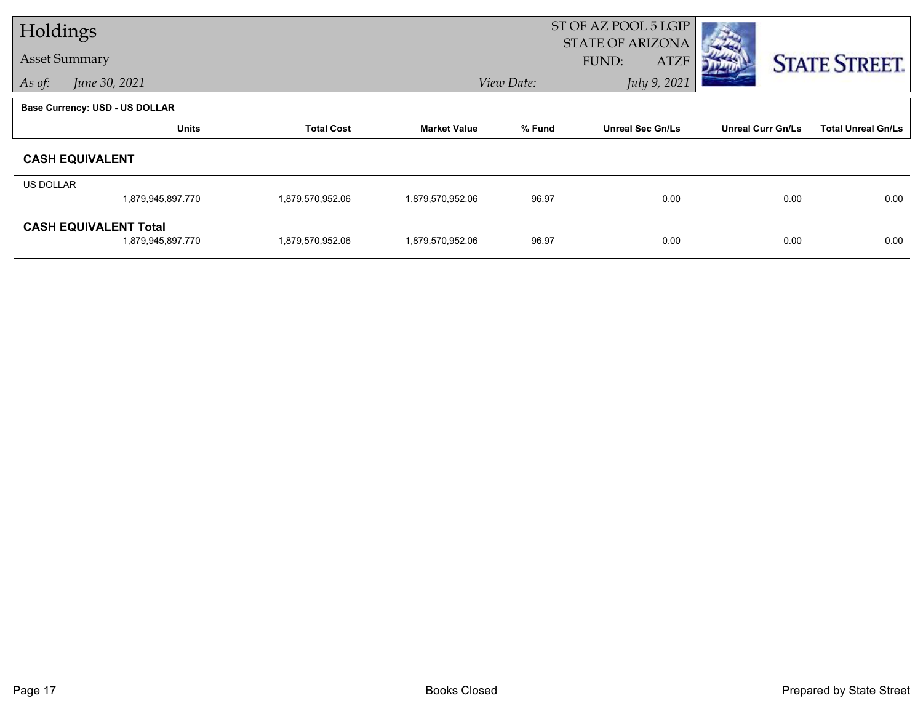| Holdings             |                                                   |                   |                     |            | ST OF AZ POOL 5 LGIP<br><b>STATE OF ARIZONA</b> |                          |                           |
|----------------------|---------------------------------------------------|-------------------|---------------------|------------|-------------------------------------------------|--------------------------|---------------------------|
| <b>Asset Summary</b> |                                                   |                   |                     |            | FUND:<br><b>ATZF</b>                            |                          | <b>STATE STREET.</b>      |
| As of:               | June 30, 2021                                     |                   |                     | View Date: | July 9, 2021                                    |                          |                           |
|                      | Base Currency: USD - US DOLLAR                    |                   |                     |            |                                                 |                          |                           |
|                      | <b>Units</b>                                      | <b>Total Cost</b> | <b>Market Value</b> | % Fund     | <b>Unreal Sec Gn/Ls</b>                         | <b>Unreal Curr Gn/Ls</b> | <b>Total Unreal Gn/Ls</b> |
|                      | <b>CASH EQUIVALENT</b>                            |                   |                     |            |                                                 |                          |                           |
| US DOLLAR            |                                                   |                   |                     |            |                                                 |                          |                           |
|                      | 1,879,945,897.770                                 | 1,879,570,952.06  | 1,879,570,952.06    | 96.97      | 0.00                                            | 0.00                     | 0.00                      |
|                      | <b>CASH EQUIVALENT Total</b><br>1,879,945,897.770 | 1,879,570,952.06  | 1,879,570,952.06    | 96.97      | 0.00                                            | 0.00                     | 0.00                      |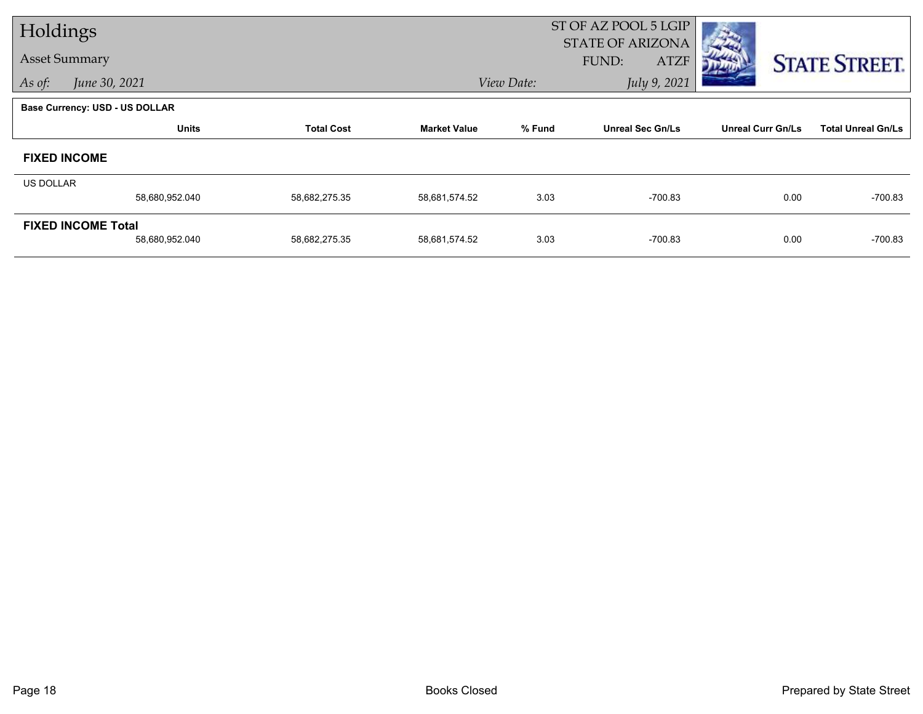| Holdings                              |                |                   |                     |            | ST OF AZ POOL 5 LGIP<br><b>STATE OF ARIZONA</b> |                          |                           |
|---------------------------------------|----------------|-------------------|---------------------|------------|-------------------------------------------------|--------------------------|---------------------------|
| <b>Asset Summary</b>                  |                |                   |                     |            | FUND:<br><b>ATZF</b>                            |                          | <b>STATE STREET.</b>      |
| As of:                                | June 30, 2021  |                   |                     | View Date: | July 9, 2021                                    |                          |                           |
| <b>Base Currency: USD - US DOLLAR</b> |                |                   |                     |            |                                                 |                          |                           |
|                                       | <b>Units</b>   | <b>Total Cost</b> | <b>Market Value</b> | % Fund     | <b>Unreal Sec Gn/Ls</b>                         | <b>Unreal Curr Gn/Ls</b> | <b>Total Unreal Gn/Ls</b> |
| <b>FIXED INCOME</b>                   |                |                   |                     |            |                                                 |                          |                           |
| <b>US DOLLAR</b>                      |                |                   |                     |            |                                                 |                          |                           |
|                                       | 58,680,952.040 | 58,682,275.35     | 58,681,574.52       | 3.03       | $-700.83$                                       | 0.00                     | $-700.83$                 |
| <b>FIXED INCOME Total</b>             |                |                   |                     |            |                                                 |                          |                           |
|                                       | 58,680,952.040 | 58,682,275.35     | 58,681,574.52       | 3.03       | $-700.83$                                       | 0.00                     | $-700.83$                 |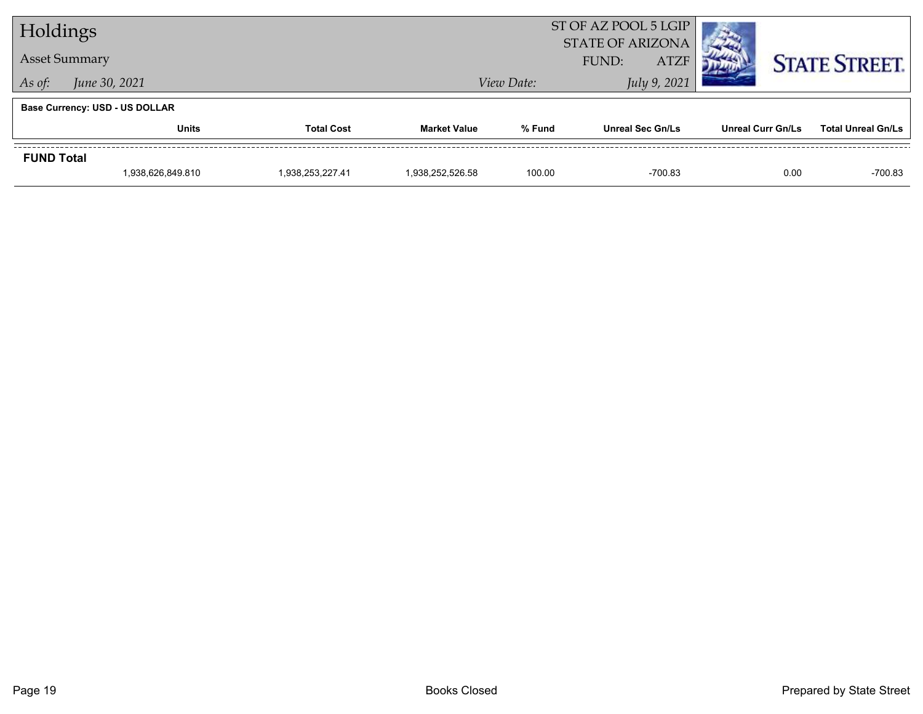| Holdings             |                                       |                   |                  |            | ST OF AZ POOL 5 LGIP<br><b>STATE OF ARIZONA</b> |                          |                           |
|----------------------|---------------------------------------|-------------------|------------------|------------|-------------------------------------------------|--------------------------|---------------------------|
| <b>Asset Summary</b> |                                       |                   |                  |            | <b>ATZF</b><br>FUND:                            |                          | <b>STATE STREET.</b>      |
| As of:               | June 30, 2021                         |                   |                  | View Date: | July 9, 2021                                    |                          |                           |
|                      | <b>Base Currency: USD - US DOLLAR</b> |                   |                  |            |                                                 |                          |                           |
|                      | Units                                 | <b>Total Cost</b> | Market Value     | % Fund     | <b>Unreal Sec Gn/Ls</b>                         | <b>Unreal Curr Gn/Ls</b> | <b>Total Unreal Gn/Ls</b> |
| <b>FUND Total</b>    |                                       |                   |                  |            |                                                 |                          |                           |
|                      | 1,938,626,849.810                     | 1,938,253,227.41  | 1,938,252,526.58 | 100.00     | $-700.83$                                       | 0.00                     | $-700.83$                 |